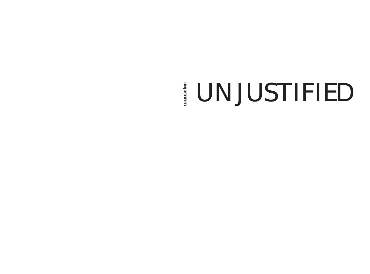# UNJUSTIFIED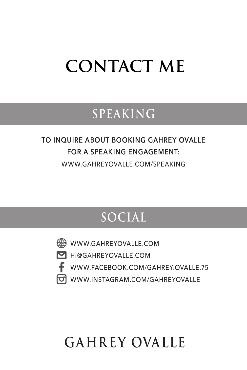## **CONTACT ME**

### **SPEAKING**

#### **TO INQUIRE ABOUT BOOKING GAHREY OVALLE FOR A SPEAKING ENGAGEMENT:** WWW.GAHREYOVALLE.COM/SPEAKING

## **SOCIAL**

WWW.GAHREYOVALLE.COM

**M** HI@GAHREYOVALLE.COM



f WWW.FACEBOOK.COM/GAHREY.OVALLE.75

**FOI WWW.INSTAGRAM.COM/GAHREYOVALLE** 

## **GAHREY OVALLE**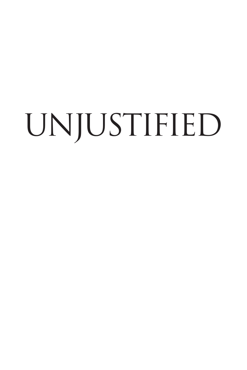# UNJUSTIFIED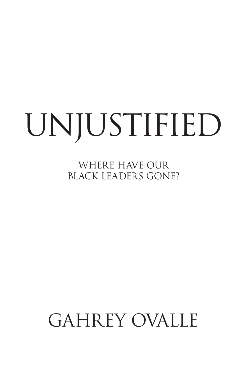## UNJUSTIFIED

WHERE HAVE OUR BLACK LEADERS GONE?

## GAHREY OVALLE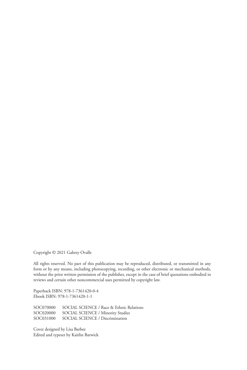Copyright © 2021 Gahrey Ovalle

All rights reserved. No part of this publication may be reproduced, distributed, or transmitted in any form or by any means, including photocopying, recording, or other electronic or mechanical methods, without the prior written permission of the publisher, except in the case of brief quotations embodied in reviews and certain other noncommercial uses permitted by copyright law.

Paperback ISBN: 978-1-7361420-0-4 Ebook ISBN: 978-1-7361420-1-1

SOC070000 SOCIAL SCIENCE / Race & Ethnic Relations<br>SOC020000 SOCIAL SCIENCE / Minority Studies SOCIAL SCIENCE / Minority Studies SOC031000 SOCIAL SCIENCE / Discrimination

Cover designed by Lisa Barbee Edited and typeset by Kaitlin Barwick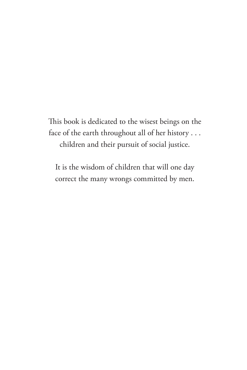This book is dedicated to the wisest beings on the face of the earth throughout all of her history . . . children and their pursuit of social justice.

It is the wisdom of children that will one day correct the many wrongs committed by men.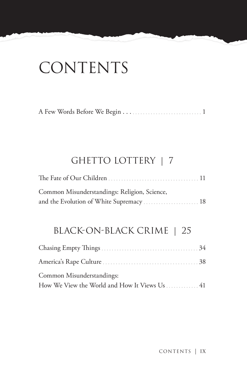## **CONTENTS**

|--|--|--|

#### GHETTO LOTTERY | 7

| Common Misunderstandings: Religion, Science, |  |
|----------------------------------------------|--|
| and the Evolution of White Supremacy  18     |  |

#### BLACK-ON-BLACK CRIME | 25

| Common Misunderstandings:                     |  |
|-----------------------------------------------|--|
| How We View the World and How It Views Us  41 |  |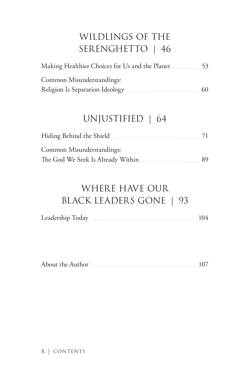### WILDLINGS OF THE SERENGHETTO | 46

| Making Healthier Choices for Us and the Planet  53 |  |
|----------------------------------------------------|--|
| Common Misunderstandings:                          |  |
|                                                    |  |

#### UNJUSTIFIED | 64

| Common Misunderstandings: |  |
|---------------------------|--|
|                           |  |

### WHERE HAVE OUR BLACK LEADERS GONE | 93

|--|--|--|

|--|--|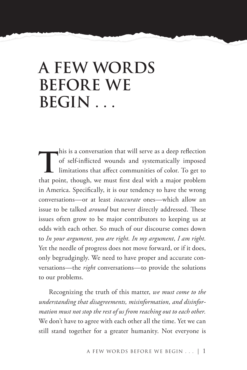## **A FEW WORDS BEFORE WE BEGIN . . .**

this is a conversation that will serve as a deep reflection<br>of self-inflicted wounds and systematically imposed<br>limitations that affect communities of color. To get to of self-inflicted wounds and systematically imposed limitations that affect communities of color. To get to that point, though, we must first deal with a major problem in America. Specifically, it is our tendency to have the wrong conversations—or at least *inaccurate* ones—which allow an issue to be talked *around* but never directly addressed. These issues often grow to be major contributors to keeping us at odds with each other. So much of our discourse comes down to *In your argument, you are right. In my argument, I am right.* Yet the needle of progress does not move forward, or if it does, only begrudgingly. We need to have proper and accurate conversations—the *right* conversations—to provide the solutions to our problems.

Recognizing the truth of this matter, *we must come to the understanding that disagreements, misinformation, and disinformation must not stop the rest of us from reaching out to each other.* We don't have to agree with each other all the time. Yet we can still stand together for a greater humanity. Not everyone is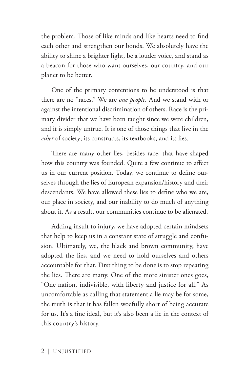the problem. Those of like minds and like hearts need to find each other and strengthen our bonds. We absolutely have the ability to shine a brighter light, be a louder voice, and stand as a beacon for those who want ourselves, our country, and our planet to be better.

One of the primary contentions to be understood is that there are no "races." We are *one people*. And we stand with or against the intentional discrimination of others. Race is the primary divider that we have been taught since we were children, and it is simply untrue. It is one of those things that live in the *ether* of society; its constructs, its textbooks, and its lies.

There are many other lies, besides race, that have shaped how this country was founded. Quite a few continue to affect us in our current position. Today, we continue to define ourselves through the lies of European expansion/history and their descendants. We have allowed these lies to define who we are, our place in society, and our inability to do much of anything about it. As a result, our communities continue to be alienated.

Adding insult to injury, we have adopted certain mindsets that help to keep us in a constant state of struggle and confusion. Ultimately, we, the black and brown community, have adopted the lies, and we need to hold ourselves and others accountable for that. First thing to be done is to stop repeating the lies. There are many. One of the more sinister ones goes, "One nation, indivisible, with liberty and justice for all." As uncomfortable as calling that statement a lie may be for some, the truth is that it has fallen woefully short of being accurate for us. It's a fine ideal, but it's also been a lie in the context of this country's history.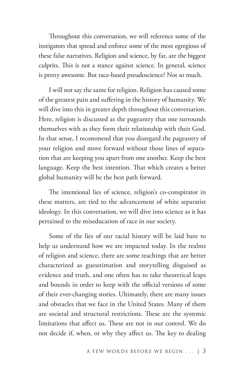Throughout this conversation, we will reference some of the instigators that spread and enforce some of the most egregious of these false narratives. Religion and science, by far, are the biggest culprits. This is not a stance against science. In general, science is pretty awesome. But race-based pseudoscience? Not so much.

I will not say the same for religion. Religion has caused some of the greatest pain and suffering in the history of humanity. We will dive into this in greater depth throughout this conversation. Here, religion is discussed as the pageantry that one surrounds themselves with as they form their relationship with their God. In that sense, I recommend that you disregard the pageantry of your religion and move forward without those lines of separation that are keeping you apart from one another. Keep the best language. Keep the best intention. That which creates a better global humanity will be the best path forward.

The intentional lies of science, religion's co-conspirator in these matters, are tied to the advancement of white separatist ideology. In this conversation, we will dive into science as it has pertained to the miseducation of race in our society.

Some of the lies of our racial history will be laid bare to help us understand how we are impacted today. In the realms of religion and science, there are some teachings that are better characterized as guesstimation and storytelling disguised as evidence and truth, and one often has to take theoretical leaps and bounds in order to keep with the official versions of some of their ever-changing stories. Ultimately, there are many issues and obstacles that we face in the United States. Many of them are societal and structural restrictions. These are the systemic limitations that affect us. These are not in our control. We do not decide if, when, or why they affect us. The key to dealing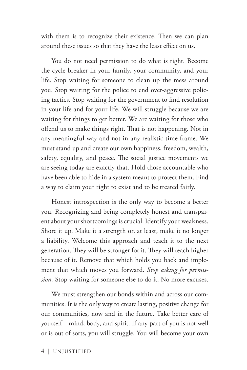with them is to recognize their existence. Then we can plan around these issues so that they have the least effect on us.

You do not need permission to do what is right. Become the cycle breaker in your family, your community, and your life. Stop waiting for someone to clean up the mess around you. Stop waiting for the police to end over-aggressive policing tactics. Stop waiting for the government to find resolution in your life and for your life. We will struggle because we are waiting for things to get better. We are waiting for those who offend us to make things right. That is not happening. Not in any meaningful way and not in any realistic time frame. We must stand up and create our own happiness, freedom, wealth, safety, equality, and peace. The social justice movements we are seeing today are exactly that. Hold those accountable who have been able to hide in a system meant to protect them. Find a way to claim your right to exist and to be treated fairly.

Honest introspection is the only way to become a better you. Recognizing and being completely honest and transparent about your shortcomings is crucial. Identify your weakness. Shore it up. Make it a strength or, at least, make it no longer a liability. Welcome this approach and teach it to the next generation. They will be stronger for it. They will reach higher because of it. Remove that which holds you back and implement that which moves you forward. *Stop asking for permission.* Stop waiting for someone else to do it. No more excuses.

We must strengthen our bonds within and across our communities. It is the only way to create lasting, positive change for our communities, now and in the future. Take better care of yourself—mind, body, and spirit. If any part of you is not well or is out of sorts, you will struggle. You will become your own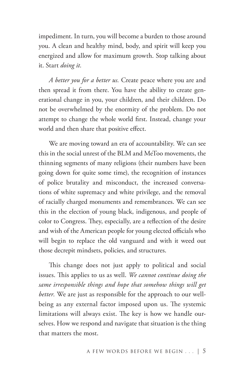impediment. In turn, you will become a burden to those around you. A clean and healthy mind, body, and spirit will keep you energized and allow for maximum growth. Stop talking about it. Start *doing it.*

*A better you for a better us.* Create peace where you are and then spread it from there. You have the ability to create generational change in you, your children, and their children. Do not be overwhelmed by the enormity of the problem. Do not attempt to change the whole world first. Instead, change your world and then share that positive effect.

We are moving toward an era of accountability. We can see this in the social unrest of the BLM and MeToo movements, the thinning segments of many religions (their numbers have been going down for quite some time), the recognition of instances of police brutality and misconduct, the increased conversations of white supremacy and white privilege, and the removal of racially charged monuments and remembrances. We can see this in the election of young black, indigenous, and people of color to Congress. They, especially, are a reflection of the desire and wish of the American people for young elected officials who will begin to replace the old vanguard and with it weed out those decrepit mindsets, policies, and structures.

This change does not just apply to political and social issues. This applies to us as well. *We cannot continue doing the same irresponsible things and hope that somehow things will get better.* We are just as responsible for the approach to our wellbeing as any external factor imposed upon us. The systemic limitations will always exist. The key is how we handle ourselves. How we respond and navigate that situation is the thing that matters the most.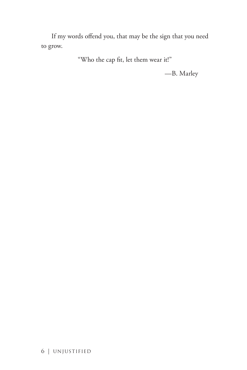If my words offend you, that may be the sign that you need to grow.

"Who the cap fit, let them wear it!"

—B. Marley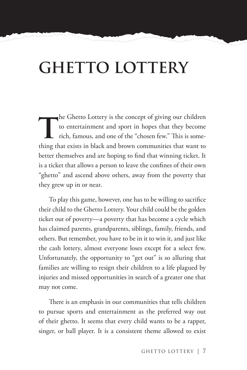## **GHETTO LOTTERY**

**t**he Ghetto Lottery is the concept of giving our children to entertainment and sport in hopes that they become rich, famous, and one of the "chosen few." This is something that exists in black and brown communities that want to better themselves and are hoping to find that winning ticket. It is a ticket that allows a person to leave the confines of their own "ghetto" and ascend above others, away from the poverty that they grew up in or near.

To play this game, however, one has to be willing to sacrifice their child to the Ghetto Lottery. Your child could be the golden ticket out of poverty—a poverty that has become a cycle which has claimed parents, grandparents, siblings, family, friends, and others. But remember, you have to be in it to win it, and just like the cash lottery, almost everyone loses except for a select few. Unfortunately, the opportunity to "get out" is so alluring that families are willing to resign their children to a life plagued by injuries and missed opportunities in search of a greater one that may not come.

There is an emphasis in our communities that tells children to pursue sports and entertainment as the preferred way out of their ghetto. It seems that every child wants to be a rapper, singer, or ball player. It is a consistent theme allowed to exist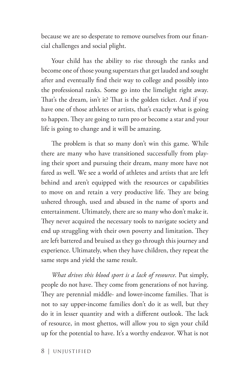because we are so desperate to remove ourselves from our financial challenges and social plight.

Your child has the ability to rise through the ranks and become one of those young superstars that get lauded and sought after and eventually find their way to college and possibly into the professional ranks. Some go into the limelight right away. That's the dream, isn't it? That is the golden ticket. And if you have one of those athletes or artists, that's exactly what is going to happen. They are going to turn pro or become a star and your life is going to change and it will be amazing.

The problem is that so many don't win this game. While there are many who have transitioned successfully from playing their sport and pursuing their dream, many more have not fared as well. We see a world of athletes and artists that are left behind and aren't equipped with the resources or capabilities to move on and retain a very productive life. They are being ushered through, used and abused in the name of sports and entertainment. Ultimately, there are so many who don't make it. They never acquired the necessary tools to navigate society and end up struggling with their own poverty and limitation. They are left battered and bruised as they go through this journey and experience. Ultimately, when they have children, they repeat the same steps and yield the same result.

*What drives this blood sport is a lack of resource*. Put simply, people do not have. They come from generations of not having. They are perennial middle- and lower-income families. That is not to say upper-income families don't do it as well, but they do it in lesser quantity and with a different outlook. The lack of resource, in most ghettos, will allow you to sign your child up for the potential to have. It's a worthy endeavor. What is not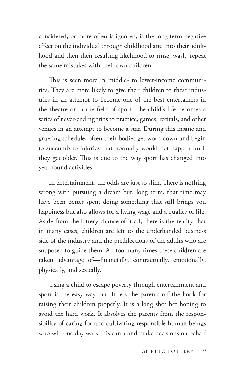considered, or more often is ignored, is the long-term negative effect on the individual through childhood and into their adulthood and then their resulting likelihood to rinse, wash, repeat the same mistakes with their own children.

This is seen more in middle- to lower-income communities. They are more likely to give their children to these industries in an attempt to become one of the best entertainers in the theatre or in the field of sport. The child's life becomes a series of never-ending trips to practice, games, recitals, and other venues in an attempt to become a star. During this insane and grueling schedule, often their bodies get worn down and begin to succumb to injuries that normally would not happen until they get older. This is due to the way sport has changed into year-round activities.

In entertainment, the odds are just so slim. There is nothing wrong with pursuing a dream but, long term, that time may have been better spent doing something that still brings you happiness but also allows for a living wage and a quality of life. Aside from the lottery chance of it all, there is the reality that in many cases, children are left to the underhanded business side of the industry and the predilections of the adults who are supposed to guide them. All too many times these children are taken advantage of—financially, contractually, emotionally, physically, and sexually.

Using a child to escape poverty through entertainment and sport is the easy way out. It lets the parents off the hook for raising their children properly. It is a long shot bet hoping to avoid the hard work. It absolves the parents from the responsibility of caring for and cultivating responsible human beings who will one day walk this earth and make decisions on behalf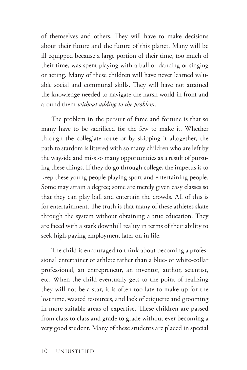of themselves and others. They will have to make decisions about their future and the future of this planet. Many will be ill equipped because a large portion of their time, too much of their time, was spent playing with a ball or dancing or singing or acting. Many of these children will have never learned valuable social and communal skills. They will have not attained the knowledge needed to navigate the harsh world in front and around them *without adding to the problem*.

The problem in the pursuit of fame and fortune is that so many have to be sacrificed for the few to make it. Whether through the collegiate route or by skipping it altogether, the path to stardom is littered with so many children who are left by the wayside and miss so many opportunities as a result of pursuing these things. If they do go through college, the impetus is to keep these young people playing sport and entertaining people. Some may attain a degree; some are merely given easy classes so that they can play ball and entertain the crowds. All of this is for entertainment. The truth is that many of these athletes skate through the system without obtaining a true education. They are faced with a stark downhill reality in terms of their ability to seek high-paying employment later on in life.

The child is encouraged to think about becoming a professional entertainer or athlete rather than a blue- or white-collar professional, an entrepreneur, an inventor, author, scientist, etc. When the child eventually gets to the point of realizing they will not be a star, it is often too late to make up for the lost time, wasted resources, and lack of etiquette and grooming in more suitable areas of expertise. These children are passed from class to class and grade to grade without ever becoming a very good student. Many of these students are placed in special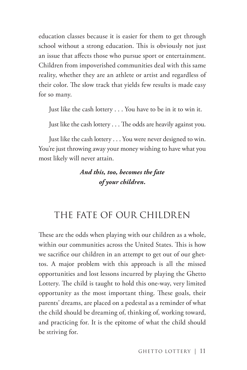education classes because it is easier for them to get through school without a strong education. This is obviously not just an issue that affects those who pursue sport or entertainment. Children from impoverished communities deal with this same reality, whether they are an athlete or artist and regardless of their color. The slow track that yields few results is made easy for so many.

Just like the cash lottery . . . You have to be in it to win it.

Just like the cash lottery . . . The odds are heavily against you.

Just like the cash lottery . . . You were never designed to win. You're just throwing away your money wishing to have what you most likely will never attain.

#### *And this, too, becomes the fate of your children.*

#### THE FATE OF OUR CHILDREN

These are the odds when playing with our children as a whole, within our communities across the United States. This is how we sacrifice our children in an attempt to get out of our ghettos. A major problem with this approach is all the missed opportunities and lost lessons incurred by playing the Ghetto Lottery. The child is taught to hold this one-way, very limited opportunity as the most important thing. These goals, their parents' dreams, are placed on a pedestal as a reminder of what the child should be dreaming of, thinking of, working toward, and practicing for. It is the epitome of what the child should be striving for.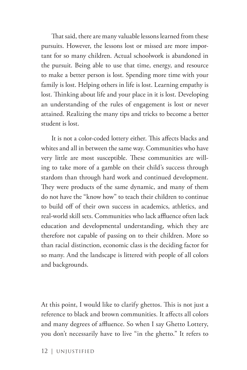That said, there are many valuable lessons learned from these pursuits. However, the lessons lost or missed are more important for so many children. Actual schoolwork is abandoned in the pursuit. Being able to use that time, energy, and resource to make a better person is lost. Spending more time with your family is lost. Helping others in life is lost. Learning empathy is lost. Thinking about life and your place in it is lost. Developing an understanding of the rules of engagement is lost or never attained. Realizing the many tips and tricks to become a better student is lost.

It is not a color-coded lottery either. This affects blacks and whites and all in between the same way. Communities who have very little are most susceptible. These communities are willing to take more of a gamble on their child's success through stardom than through hard work and continued development. They were products of the same dynamic, and many of them do not have the "know how" to teach their children to continue to build off of their own success in academics, athletics, and real-world skill sets. Communities who lack affluence often lack education and developmental understanding, which they are therefore not capable of passing on to their children. More so than racial distinction, economic class is the deciding factor for so many. And the landscape is littered with people of all colors and backgrounds.

At this point, I would like to clarify ghettos. This is not just a reference to black and brown communities. It affects all colors and many degrees of affluence. So when I say Ghetto Lottery, you don't necessarily have to live "in the ghetto." It refers to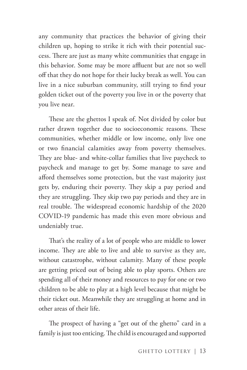any community that practices the behavior of giving their children up, hoping to strike it rich with their potential success. There are just as many white communities that engage in this behavior. Some may be more affluent but are not so well off that they do not hope for their lucky break as well. You can live in a nice suburban community, still trying to find your golden ticket out of the poverty you live in or the poverty that you live near.

These are the ghettos I speak of. Not divided by color but rather drawn together due to socioeconomic reasons. These communities, whether middle or low income, only live one or two financial calamities away from poverty themselves. They are blue- and white-collar families that live paycheck to paycheck and manage to get by. Some manage to save and afford themselves some protection, but the vast majority just gets by, enduring their poverty. They skip a pay period and they are struggling. They skip two pay periods and they are in real trouble. The widespread economic hardship of the 2020 COVID-19 pandemic has made this even more obvious and undeniably true.

That's the reality of a lot of people who are middle to lower income. They are able to live and able to survive as they are, without catastrophe, without calamity. Many of these people are getting priced out of being able to play sports. Others are spending all of their money and resources to pay for one or two children to be able to play at a high level because that might be their ticket out. Meanwhile they are struggling at home and in other areas of their life.

The prospect of having a "get out of the ghetto" card in a family is just too enticing. The child is encouraged and supported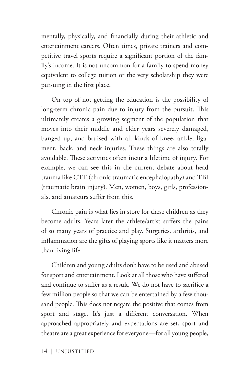mentally, physically, and financially during their athletic and entertainment careers. Often times, private trainers and competitive travel sports require a significant portion of the family's income. It is not uncommon for a family to spend money equivalent to college tuition or the very scholarship they were pursuing in the first place.

On top of not getting the education is the possibility of long-term chronic pain due to injury from the pursuit. This ultimately creates a growing segment of the population that moves into their middle and elder years severely damaged, banged up, and bruised with all kinds of knee, ankle, ligament, back, and neck injuries. These things are also totally avoidable. These activities often incur a lifetime of injury. For example, we can see this in the current debate about head trauma like CTE (chronic traumatic encephalopathy) and TBI (traumatic brain injury). Men, women, boys, girls, professionals, and amateurs suffer from this.

Chronic pain is what lies in store for these children as they become adults. Years later the athlete/artist suffers the pains of so many years of practice and play. Surgeries, arthritis, and inflammation are the gifts of playing sports like it matters more than living life.

Children and young adults don't have to be used and abused for sport and entertainment. Look at all those who have suffered and continue to suffer as a result. We do not have to sacrifice a few million people so that we can be entertained by a few thousand people. This does not negate the positive that comes from sport and stage. It's just a different conversation. When approached appropriately and expectations are set, sport and theatre are a great experience for everyone—for all young people,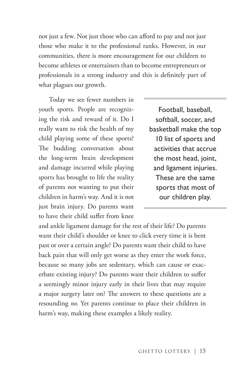not just a few. Not just those who can afford to pay and not just those who make it to the professional ranks. However, in our communities, there is more encouragement for our children to become athletes or entertainers than to become entrepreneurs or professionals in a strong industry and this is definitely part of what plagues our growth.

Today we see fewer numbers in youth sports. People are recognizing the risk and reward of it. Do I really want to risk the health of my child playing some of these sports? The budding conversation about the long-term brain development and damage incurred while playing sports has brought to life the reality of parents not wanting to put their children in harm's way. And it is not just brain injury. Do parents want to have their child suffer from knee

Football, baseball, softball, soccer, and basketball make the top 10 list of sports and activities that accrue the most head, joint, and ligament injuries. These are the same sports that most of our children play.

and ankle ligament damage for the rest of their life? Do parents want their child's shoulder or knee to click every time it is bent past or over a certain angle? Do parents want their child to have back pain that will only get worse as they enter the work force, because so many jobs are sedentary, which can cause or exacerbate existing injury? Do parents want their children to suffer a seemingly minor injury early in their lives that may require a major surgery later on? The answers to these questions are a resounding *no*. Yet parents continue to place their children in harm's way, making these examples a likely reality.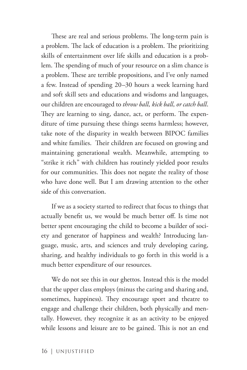These are real and serious problems. The long-term pain is a problem. The lack of education is a problem. The prioritizing skills of entertainment over life skills and education is a problem. The spending of much of your resource on a slim chance is a problem. These are terrible propositions, and I've only named a few. Instead of spending 20–30 hours a week learning hard and soft skill sets and educations and wisdoms and languages, our children are encouraged to *throw ball, kick ball, or catch ball*. They are learning to sing, dance, act, or perform. The expenditure of time pursuing these things seems harmless; however, take note of the disparity in wealth between BIPOC families and white families. Their children are focused on growing and maintaining generational wealth. Meanwhile, attempting to "strike it rich" with children has routinely yielded poor results for our communities. This does not negate the reality of those who have done well. But I am drawing attention to the other side of this conversation.

If we as a society started to redirect that focus to things that actually benefit us, we would be much better off. Is time not better spent encouraging the child to become a builder of society and generator of happiness and wealth? Introducing language, music, arts, and sciences and truly developing caring, sharing, and healthy individuals to go forth in this world is a much better expenditure of our resources.

We do not see this in our ghettos. Instead this is the model that the upper class employs (minus the caring and sharing and, sometimes, happiness). They encourage sport and theatre to engage and challenge their children, both physically and mentally. However, they recognize it as an activity to be enjoyed while lessons and leisure are to be gained. This is not an end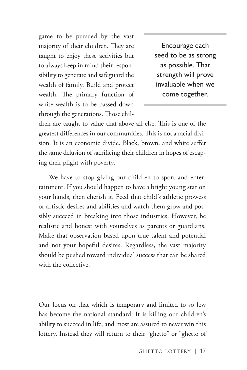game to be pursued by the vast majority of their children. They are taught to enjoy these activities but to always keep in mind their responsibility to generate and safeguard the wealth of family. Build and protect wealth. The primary function of white wealth is to be passed down through the generations. Those chil-

Encourage each seed to be as strong as possible. That strength will prove invaluable when we come together.

dren are taught to value that above all else. This is one of the greatest differences in our communities. This is not a racial division. It is an economic divide. Black, brown, and white suffer the same delusion of sacrificing their children in hopes of escaping their plight with poverty.

We have to stop giving our children to sport and entertainment. If you should happen to have a bright young star on your hands, then cherish it. Feed that child's athletic prowess or artistic desires and abilities and watch them grow and possibly succeed in breaking into those industries. However, be realistic and honest with yourselves as parents or guardians. Make that observation based upon true talent and potential and not your hopeful desires. Regardless, the vast majority should be pushed toward individual success that can be shared with the collective.

Our focus on that which is temporary and limited to so few has become the national standard. It is killing our children's ability to succeed in life, and most are assured to never win this lottery. Instead they will return to their "ghetto" or "ghetto of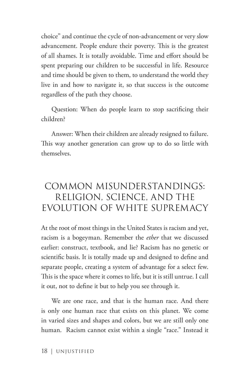choice" and continue the cycle of non-advancement or very slow advancement. People endure their poverty. This is the greatest of all shames. It is totally avoidable. Time and effort should be spent preparing our children to be successful in life. Resource and time should be given to them, to understand the world they live in and how to navigate it, so that success is the outcome regardless of the path they choose.

Question: When do people learn to stop sacrificing their children?

Answer: When their children are already resigned to failure. This way another generation can grow up to do so little with themselves.

#### COMMON MISUNDERSTANDINGS: RELIGION, SCIENCE, AND THE EVOLUTION OF WHITE SUPREMACY

At the root of most things in the United States is racism and yet, racism is a bogeyman. Remember the *ether* that we discussed earlier: construct, textbook, and lie? Racism has no genetic or scientific basis. It is totally made up and designed to define and separate people, creating a system of advantage for a select few. This is the space where it comes to life, but it is still untrue. I call it out, not to define it but to help you see through it.

We are one race, and that is the human race. And there is only one human race that exists on this planet. We come in varied sizes and shapes and colors, but we are still only one human. Racism cannot exist within a single "race." Instead it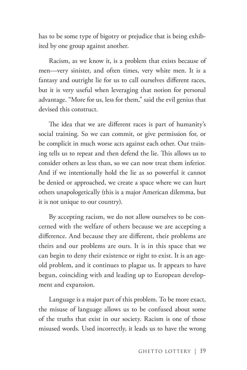has to be some type of bigotry or prejudice that is being exhibited by one group against another.

Racism, as we know it, is a problem that exists because of men—very sinister, and often times, very white men. It is a fantasy and outright lie for us to call ourselves different races, but it is very useful when leveraging that notion for personal advantage. "More for us, less for them," said the evil genius that devised this construct.

The idea that we are different races is part of humanity's social training. So we can commit, or give permission for, or be complicit in much worse acts against each other. Our training tells us to repeat and then defend the lie. This allows us to consider others as less than, so we can now treat them inferior. And if we intentionally hold the lie as so powerful it cannot be denied or approached, we create a space where we can hurt others unapologetically (this is a major American dilemma, but it is not unique to our country).

By accepting racism, we do not allow ourselves to be concerned with the welfare of others because we are accepting a difference. And because they are different, their problems are theirs and our problems are ours. It is in this space that we can begin to deny their existence or right to exist. It is an ageold problem, and it continues to plague us. It appears to have begun, coinciding with and leading up to European development and expansion.

Language is a major part of this problem. To be more exact, the misuse of language allows us to be confused about some of the truths that exist in our society. Racism is one of those misused words. Used incorrectly, it leads us to have the wrong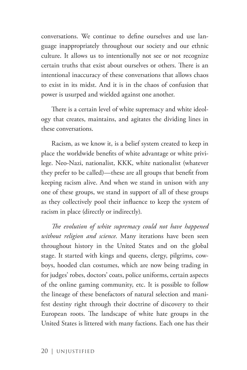conversations. We continue to define ourselves and use language inappropriately throughout our society and our ethnic culture. It allows us to intentionally not see or not recognize certain truths that exist about ourselves or others. There is an intentional inaccuracy of these conversations that allows chaos to exist in its midst. And it is in the chaos of confusion that power is usurped and wielded against one another.

There is a certain level of white supremacy and white ideology that creates, maintains, and agitates the dividing lines in these conversations.

Racism, as we know it, is a belief system created to keep in place the worldwide benefits of white advantage or white privilege. Neo-Nazi, nationalist, KKK, white nationalist (whatever they prefer to be called)—these are all groups that benefit from keeping racism alive. And when we stand in unison with any one of these groups, we stand in support of all of these groups as they collectively pool their influence to keep the system of racism in place (directly or indirectly).

*The evolution of white supremacy could not have happened without religion and science*. Many iterations have been seen throughout history in the United States and on the global stage. It started with kings and queens, clergy, pilgrims, cowboys, hooded clan costumes, which are now being trading in for judges' robes, doctors' coats, police uniforms, certain aspects of the online gaming community, etc. It is possible to follow the lineage of these benefactors of natural selection and manifest destiny right through their doctrine of discovery to their European roots. The landscape of white hate groups in the United States is littered with many factions. Each one has their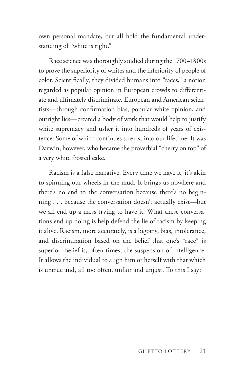own personal mandate, but all hold the fundamental understanding of "white is right."

Race science was thoroughly studied during the 1700–1800s to prove the superiority of whites and the inferiority of people of color. Scientifically, they divided humans into "races," a notion regarded as popular opinion in European crowds to differentiate and ultimately discriminate. European and American scientists—through confirmation bias, popular white opinion, and outright lies—created a body of work that would help to justify white supremacy and usher it into hundreds of years of existence. Some of which continues to exist into our lifetime. It was Darwin, however, who became the proverbial "cherry on top" of a very white frosted cake.

Racism is a false narrative. Every time we have it, it's akin to spinning our wheels in the mud. It brings us nowhere and there's no end to the conversation because there's no beginning . . . because the conversation doesn't actually exist—but we all end up a mess trying to have it. What these conversations end up doing is help defend the lie of racism by keeping it alive. Racism, more accurately, is a bigotry, bias, intolerance, and discrimination based on the belief that one's "race" is superior. Belief is, often times, the suspension of intelligence. It allows the individual to align him or herself with that which is untrue and, all too often, unfair and unjust. To this I say: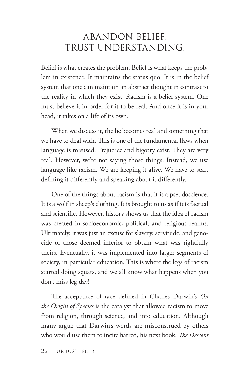#### ABANDON BELIEF. TRUST UNDERSTANDING.

Belief is what creates the problem. Belief is what keeps the problem in existence. It maintains the status quo. It is in the belief system that one can maintain an abstract thought in contrast to the reality in which they exist. Racism is a belief system. One must believe it in order for it to be real. And once it is in your head, it takes on a life of its own.

When we discuss it, the lie becomes real and something that we have to deal with. This is one of the fundamental flaws when language is misused. Prejudice and bigotry exist. They are very real. However, we're not saying those things. Instead, we use language like racism. We are keeping it alive. We have to start defining it differently and speaking about it differently.

One of the things about racism is that it is a pseudoscience. It is a wolf in sheep's clothing. It is brought to us as if it is factual and scientific. However, history shows us that the idea of racism was created in socioeconomic, political, and religious realms. Ultimately, it was just an excuse for slavery, servitude, and genocide of those deemed inferior to obtain what was rightfully theirs. Eventually, it was implemented into larger segments of society, in particular education. This is where the legs of racism started doing squats, and we all know what happens when you don't miss leg day!

The acceptance of race defined in Charles Darwin's *On the Origin of Species* is the catalyst that allowed racism to move from religion, through science, and into education. Although many argue that Darwin's words are misconstrued by others who would use them to incite hatred, his next book, *The Descent*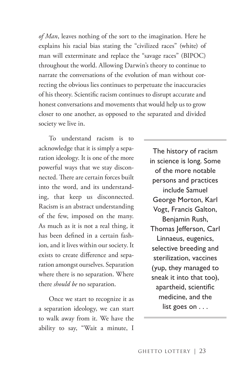*of Man*, leaves nothing of the sort to the imagination. Here he explains his racial bias stating the "civilized races" (white) of man will exterminate and replace the "savage races" (BIPOC) throughout the world. Allowing Darwin's theory to continue to narrate the conversations of the evolution of man without correcting the obvious lies continues to perpetuate the inaccuracies of his theory. Scientific racism continues to disrupt accurate and honest conversations and movements that would help us to grow closer to one another, as opposed to the separated and divided society we live in.

To understand racism is to acknowledge that it is simply a separation ideology. It is one of the more powerful ways that we stay disconnected. There are certain forces built into the word, and its understanding, that keep us disconnected. Racism is an abstract understanding of the few, imposed on the many. As much as it is not a real thing, it has been defined in a certain fashion, and it lives within our society. It exists to create difference and separation amongst ourselves. Separation where there is no separation. Where there *should be* no separation.

Once we start to recognize it as a separation ideology, we can start to walk away from it. We have the ability to say, "Wait a minute, I

The history of racism in science is long. Some of the more notable persons and practices include Samuel George Morton, Karl Vogt, Francis Galton, Benjamin Rush, Thomas Jefferson, Carl Linnaeus, eugenics, selective breeding and sterilization, vaccines (yup, they managed to sneak it into that too), apartheid, scientific medicine, and the list goes on . . .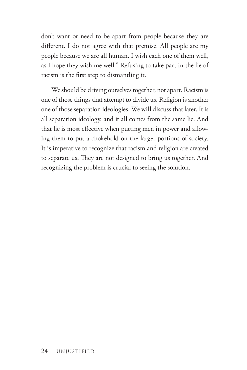don't want or need to be apart from people because they are different. I do not agree with that premise. All people are my people because we are all human. I wish each one of them well, as I hope they wish me well." Refusing to take part in the lie of racism is the first step to dismantling it.

We should be driving ourselves together, not apart. Racism is one of those things that attempt to divide us. Religion is another one of those separation ideologies. We will discuss that later. It is all separation ideology, and it all comes from the same lie. And that lie is most effective when putting men in power and allowing them to put a chokehold on the larger portions of society. It is imperative to recognize that racism and religion are created to separate us. They are not designed to bring us together. And recognizing the problem is crucial to seeing the solution.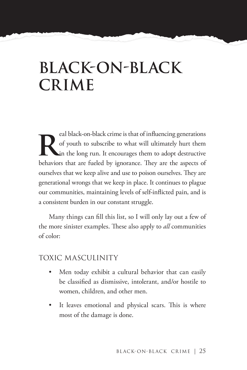## **BLACK-ON-BLACK CRIME**

real black-on-black crime is that of influencing generations<br>of youth to subscribe to what will ultimately hurt them<br>in the long run. It encourages them to adopt destructive<br>behaviors that are fueled by innergange. They ar of youth to subscribe to what will ultimately hurt them in the long run. It encourages them to adopt destructive behaviors that are fueled by ignorance. They are the aspects of ourselves that we keep alive and use to poison ourselves. They are generational wrongs that we keep in place. It continues to plague our communities, maintaining levels of self-inflicted pain, and is a consistent burden in our constant struggle.

Many things can fill this list, so I will only lay out a few of the more sinister examples. These also apply to *all* communities of color:

#### TOXIC MASCULINITY

- Men today exhibit a cultural behavior that can easily be classified as dismissive, intolerant, and/or hostile to women, children, and other men.
- It leaves emotional and physical scars. This is where most of the damage is done.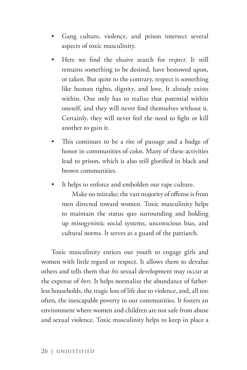- Gang culture, violence, and prison intersect several aspects of toxic masculinity.
- Here we find the elusive search for *respect*. It still remains something to be desired, have bestowed upon, or taken. But quite to the contrary, respect is something like human rights, dignity, and love. It already exists within. One only has to realize that potential within oneself, and they will never find themselves without it. Certainly, they will never feel the need to fight or kill another to gain it.
- This continues to be a rite of passage and a badge of honor in communities of color. Many of these activities lead to prison, which is also still glorified in black and brown communities.
- It helps to enforce and embolden our rape culture.

Make no mistake; the vast majority of offense is from men directed toward women. Toxic masculinity helps to maintain the status quo surrounding and holding up misogynistic social systems, unconscious bias, and cultural norms. It serves as a guard of the patriarch.

Toxic masculinity entices our youth to engage girls and women with little regard or respect. It allows them to devalue others and tells them that *his* sexual development may occur at the expense of *hers*. It helps normalize the abundance of fatherless households, the tragic loss of life due to violence, and, all too often, the inescapable poverty in our communities. It fosters an environment where women and children are not safe from abuse and sexual violence. Toxic masculinity helps to keep in place a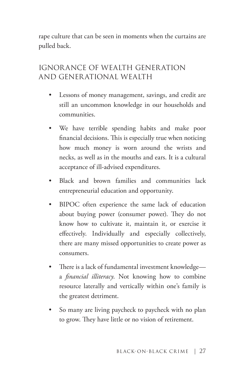rape culture that can be seen in moments when the curtains are pulled back.

## IGNORANCE OF WEALTH GENERATION AND GENERATIONAL WEALTH

- Lessons of money management, savings, and credit are still an uncommon knowledge in our households and communities.
- We have terrible spending habits and make poor financial decisions. This is especially true when noticing how much money is worn around the wrists and necks, as well as in the mouths and ears. It is a cultural acceptance of ill-advised expenditures.
- Black and brown families and communities lack entrepreneurial education and opportunity.
- BIPOC often experience the same lack of education about buying power (consumer power). They do not know how to cultivate it, maintain it, or exercise it effectively. Individually and especially collectively, there are many missed opportunities to create power as consumers.
- There is a lack of fundamental investment knowledge a *financial illiteracy*. Not knowing how to combine resource laterally and vertically within one's family is the greatest detriment.
- So many are living paycheck to paycheck with no plan to grow. They have little or no vision of retirement.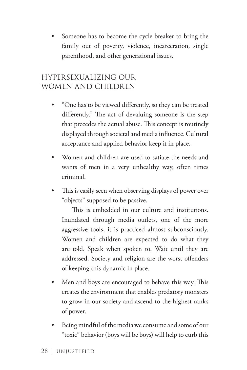Someone has to become the cycle breaker to bring the family out of poverty, violence, incarceration, single parenthood, and other generational issues.

## HYPERSEXUALIZING OUR WOMEN AND CHILDREN

- "One has to be viewed differently, so they can be treated differently." The act of devaluing someone is the step that precedes the actual abuse. This concept is routinely displayed through societal and media influence. Cultural acceptance and applied behavior keep it in place.
- Women and children are used to satiate the needs and wants of men in a very unhealthy way, often times criminal.
- This is easily seen when observing displays of power over "objects" supposed to be passive.

This is embedded in our culture and institutions. Inundated through media outlets, one of the more aggressive tools, it is practiced almost subconsciously. Women and children are expected to do what they are told. Speak when spoken to. Wait until they are addressed. Society and religion are the worst offenders of keeping this dynamic in place.

- Men and boys are encouraged to behave this way. This creates the environment that enables predatory monsters to grow in our society and ascend to the highest ranks of power.
- Being mindful of the media we consume and some of our "toxic" behavior (boys will be boys) will help to curb this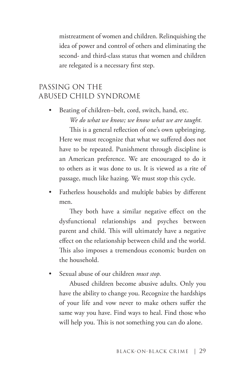mistreatment of women and children. Relinquishing the idea of power and control of others and eliminating the second- and third-class status that women and children are relegated is a necessary first step.

#### PASSING ON THE ABUSED CHILD SYNDROME

Beating of children–belt, cord, switch, hand, etc. *We do what we know; we know what we are taught.* 

This is a general reflection of one's own upbringing. Here we must recognize that what we suffered does not have to be repeated. Punishment through discipline is an American preference. We are encouraged to do it to others as it was done to us. It is viewed as a rite of passage, much like hazing. We must stop this cycle.

Fatherless households and multiple babies by different men.

They both have a similar negative effect on the dysfunctional relationships and psyches between parent and child. This will ultimately have a negative effect on the relationship between child and the world. This also imposes a tremendous economic burden on the household.

• Sexual abuse of our children *must stop.*

Abused children become abusive adults. Only you have the ability to change you. Recognize the hardships of your life and vow never to make others suffer the same way you have. Find ways to heal. Find those who will help you. This is not something you can do alone.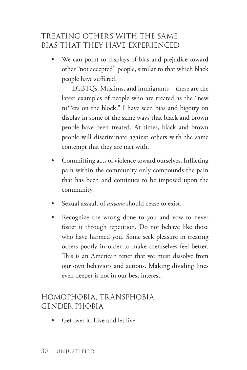## TREATING OTHERS WITH THE SAME BIAS THAT THEY HAVE EXPERIENCED

We can point to displays of bias and prejudice toward other "not accepted" people, similar to that which black people have suffered.

LGBTQs, Muslims, and immigrants—these are the latest examples of people who are treated as the "new ni\*\*ers on the block." I have seen bias and bigotry on display in some of the same ways that black and brown people have been treated. At times, black and brown people will discriminate against others with the same contempt that they are met with.

- Committing acts of violence toward ourselves. Inflicting pain within the community only compounds the pain that has been and continues to be imposed upon the community.
- Sexual assault of *anyone* should cease to exist.
- Recognize the wrong done to you and vow to never foster it through repetition. Do not behave like those who have harmed you. Some seek pleasure in treating others poorly in order to make themselves feel better. This is an American tenet that we must dissolve from our own behaviors and actions. Making dividing lines even deeper is not in our best interest.

### HOMOPHOBIA, TRANSPHOBIA, GENDER PHOBIA

• Get over it. Live and let live.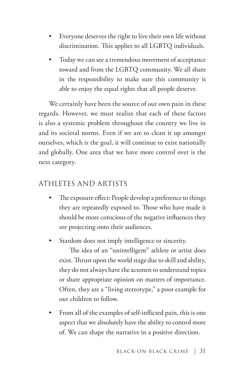- Everyone deserves the right to live their own life without discrimination. This applies to all LGBTQ individuals.
- Today we can see a tremendous movement of acceptance toward and from the LGBTQ community. We all share in the responsibility to make sure this community is able to enjoy the equal rights that all people deserve.

We certainly have been the source of our own pain in these regards. However, we must realize that each of these factors is also a systemic problem throughout the country we live in and its societal norms. Even if we are to clean it up amongst ourselves, which is the goal, it will continue to exist nationally and globally. One area that we have more control over is the next category.

#### ATHLETES AND ARTISTS

- The exposure effect: People develop a preference to things they are repeatedly exposed to. Those who have made it should be more conscious of the negative influences they are projecting onto their audiences.
- Stardom does not imply intelligence or sincerity.

The idea of an "unintelligent" athlete or artist does exist. Thrust upon the world stage due to skill and ability, they do not always have the acumen to understand topics or share appropriate opinion on matters of importance. Often, they are a "living stereotype," a poor example for our children to follow.

• From all of the examples of self-inflicted pain, this is one aspect that we absolutely have the ability to control more of. We can shape the narrative in a positive direction.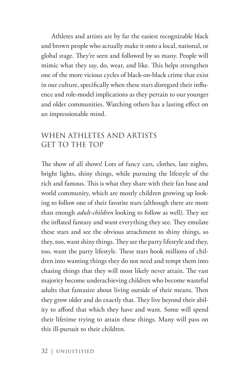Athletes and artists are by far the easiest recognizable black and brown people who actually make it onto a local, national, or global stage. They're seen and followed by so many. People will mimic what they say, do, wear, and like. This helps strengthen one of the more vicious cycles of black-on-black crime that exist in our culture, specifically when these stars disregard their influence and role-model implications as they pertain to our younger and older communities. Watching others has a lasting effect on an impressionable mind.

## WHEN ATHLETES AND ARTISTS GET TO THE TOP

The show of all shows! Lots of fancy cars, clothes, late nights, bright lights, shiny things, while pursuing the lifestyle of the rich and famous. This is what they share with their fan base and world community, which are mostly children growing up looking to follow one of their favorite stars (although there are more than enough *adult-children* looking to follow as well). They see the inflated fantasy and want everything they see. They emulate these stars and see the obvious attachment to shiny things, so they, too, want shiny things. They see the party lifestyle and they, too, want the party lifestyle. These stars hook millions of children into wanting things they do not need and tempt them into chasing things that they will most likely never attain. The vast majority become underachieving children who become wasteful adults that fantasize about living outside of their means. Then they grow older and do exactly that. They live beyond their ability to afford that which they have and want. Some will spend their lifetime trying to attain these things. Many will pass on this ill-pursuit to their children.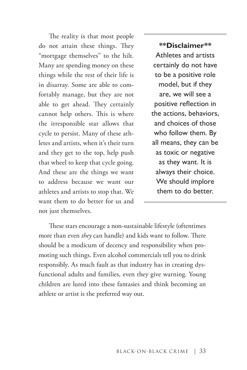The reality is that most people do not attain these things. They "mortgage themselves" to the hilt. Many are spending money on these things while the rest of their life is in disarray. Some are able to comfortably manage, but they are not able to get ahead. They certainly cannot help others. This is where the irresponsible star allows that cycle to persist. Many of these athletes and artists, when it's their turn and they get to the top, help push that wheel to keep that cycle going. And these are the things we want to address because we want our athletes and artists to stop that. We want them to do better for us and not just themselves.

**\*\*Disclaimer\*\*** Athletes and artists certainly do not have to be a positive role model, but if they are, we will see a positive reflection in the actions, behaviors, and choices of those who follow them. By all means, they can be as toxic or negative as they want. It is always their choice. We should implore them to do better.

These stars encourage a non-sustainable lifestyle (oftentimes more than even *they* can handle) and kids want to follow. There should be a modicum of decency and responsibility when promoting such things. Even alcohol commercials tell you to drink responsibly. As much fault as that industry has in creating dysfunctional adults and families, even they give warning. Young children are lured into these fantasies and think becoming an athlete or artist is the preferred way out.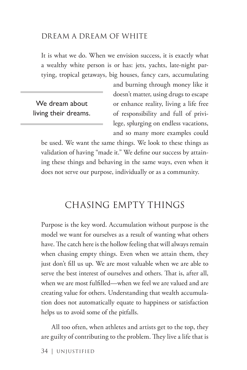#### DREAM A DREAM OF WHITE

It is what we do. When we envision success, it is exactly what a wealthy white person is or has: jets, yachts, late-night partying, tropical getaways, big houses, fancy cars, accumulating

We dream about living their dreams. and burning through money like it doesn't matter, using drugs to escape or enhance reality, living a life free of responsibility and full of privilege, splurging on endless vacations, and so many more examples could

be used. We want the same things. We look to these things as validation of having "made it." We define our success by attaining these things and behaving in the same ways, even when it does not serve our purpose, individually or as a community.

# CHASING EMPTY THINGS

Purpose is the key word. Accumulation without purpose is the model we want for ourselves as a result of wanting what others have. The catch here is the hollow feeling that will always remain when chasing empty things. Even when we attain them, they just don't fill us up. We are most valuable when we are able to serve the best interest of ourselves and others. That is, after all, when we are most fulfilled—when we feel we are valued and are creating value for others. Understanding that wealth accumulation does not automatically equate to happiness or satisfaction helps us to avoid some of the pitfalls.

All too often, when athletes and artists get to the top, they are guilty of contributing to the problem. They live a life that is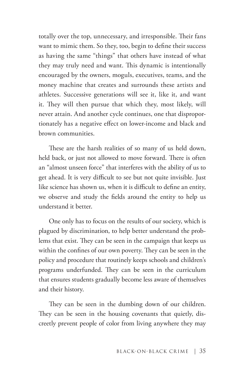totally over the top, unnecessary, and irresponsible. Their fans want to mimic them. So they, too, begin to define their success as having the same "things" that others have instead of what they may truly need and want. This dynamic is intentionally encouraged by the owners, moguls, executives, teams, and the money machine that creates and surrounds these artists and athletes. Successive generations will see it, like it, and want it. They will then pursue that which they, most likely, will never attain. And another cycle continues, one that disproportionately has a negative effect on lower-income and black and brown communities.

These are the harsh realities of so many of us held down, held back, or just not allowed to move forward. There is often an "almost unseen force" that interferes with the ability of us to get ahead. It is very difficult to see but not quite invisible. Just like science has shown us, when it is difficult to define an entity, we observe and study the fields around the entity to help us understand it better.

One only has to focus on the results of our society, which is plagued by discrimination, to help better understand the problems that exist. They can be seen in the campaign that keeps us within the confines of our own poverty. They can be seen in the policy and procedure that routinely keeps schools and children's programs underfunded. They can be seen in the curriculum that ensures students gradually become less aware of themselves and their history.

They can be seen in the dumbing down of our children. They can be seen in the housing covenants that quietly, discreetly prevent people of color from living anywhere they may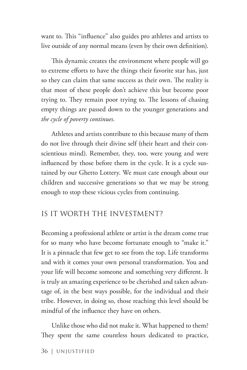want to. This "influence" also guides pro athletes and artists to live outside of any normal means (even by their own definition).

This dynamic creates the environment where people will go to extreme efforts to have the things their favorite star has, just so they can claim that same success as their own. The reality is that most of these people don't achieve this but become poor trying to. They remain poor trying to. The lessons of chasing empty things are passed down to the younger generations and *the cycle of poverty continues*.

Athletes and artists contribute to this because many of them do not live through their divine self (their heart and their conscientious mind). Remember, they, too, were young and were influenced by those before them in the cycle. It is a cycle sustained by our Ghetto Lottery. We must care enough about our children and successive generations so that we may be strong enough to stop these vicious cycles from continuing.

#### IS IT WORTH THE INVESTMENT?

Becoming a professional athlete or artist is the dream come true for so many who have become fortunate enough to "make it." It is a pinnacle that few get to see from the top. Life transforms and with it comes your own personal transformation. You and your life will become someone and something very different. It is truly an amazing experience to be cherished and taken advantage of, in the best ways possible, for the individual and their tribe. However, in doing so, those reaching this level should be mindful of the influence they have on others.

Unlike those who did not make it. What happened to them? They spent the same countless hours dedicated to practice,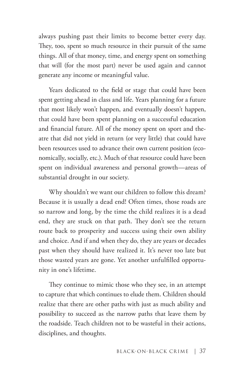always pushing past their limits to become better every day. They, too, spent so much resource in their pursuit of the same things. All of that money, time, and energy spent on something that will (for the most part) never be used again and cannot generate any income or meaningful value.

Years dedicated to the field or stage that could have been spent getting ahead in class and life. Years planning for a future that most likely won't happen, and eventually doesn't happen, that could have been spent planning on a successful education and financial future. All of the money spent on sport and theatre that did not yield in return (or very little) that could have been resources used to advance their own current position (economically, socially, etc.). Much of that resource could have been spent on individual awareness and personal growth—areas of substantial drought in our society.

Why shouldn't we want our children to follow this dream? Because it is usually a dead end! Often times, those roads are so narrow and long, by the time the child realizes it is a dead end, they are stuck on that path. They don't see the return route back to prosperity and success using their own ability and choice. And if and when they do, they are years or decades past when they should have realized it. It's never too late but those wasted years are gone. Yet another unfulfilled opportunity in one's lifetime.

They continue to mimic those who they see, in an attempt to capture that which continues to elude them. Children should realize that there are other paths with just as much ability and possibility to succeed as the narrow paths that leave them by the roadside. Teach children not to be wasteful in their actions, disciplines, and thoughts.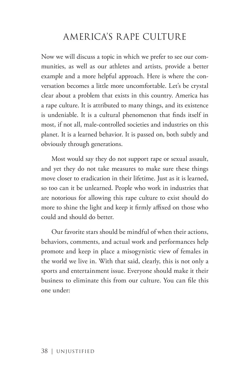# AMERICA'S RAPE CULTURE

Now we will discuss a topic in which we prefer to see our communities, as well as our athletes and artists, provide a better example and a more helpful approach. Here is where the conversation becomes a little more uncomfortable. Let's be crystal clear about a problem that exists in this country. America has a rape culture. It is attributed to many things, and its existence is undeniable. It is a cultural phenomenon that finds itself in most, if not all, male-controlled societies and industries on this planet. It is a learned behavior. It is passed on, both subtly and obviously through generations.

Most would say they do not support rape or sexual assault, and yet they do not take measures to make sure these things move closer to eradication in their lifetime. Just as it is learned, so too can it be unlearned. People who work in industries that are notorious for allowing this rape culture to exist should do more to shine the light and keep it firmly affixed on those who could and should do better.

Our favorite stars should be mindful of when their actions, behaviors, comments, and actual work and performances help promote and keep in place a misogynistic view of females in the world we live in. With that said, clearly, this is not only a sports and entertainment issue. Everyone should make it their business to eliminate this from our culture. You can file this one under: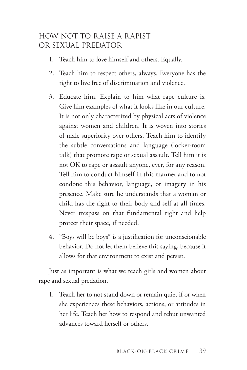## HOW NOT TO RAISE A RAPIST OR SEXUAL PREDATOR

- 1. Teach him to love himself and others. Equally.
- 2. Teach him to respect others, always. Everyone has the right to live free of discrimination and violence.
- 3. Educate him. Explain to him what rape culture is. Give him examples of what it looks like in our culture. It is not only characterized by physical acts of violence against women and children. It is woven into stories of male superiority over others. Teach him to identify the subtle conversations and language (locker-room talk) that promote rape or sexual assault. Tell him it is not OK to rape or assault anyone, ever, for any reason. Tell him to conduct himself in this manner and to not condone this behavior, language, or imagery in his presence. Make sure he understands that a woman or child has the right to their body and self at all times. Never trespass on that fundamental right and help protect their space, if needed.
- 4. "Boys will be boys" is a justification for unconscionable behavior. Do not let them believe this saying, because it allows for that environment to exist and persist.

Just as important is what we teach girls and women about rape and sexual predation.

1. Teach her to not stand down or remain quiet if or when she experiences these behaviors, actions, or attitudes in her life. Teach her how to respond and rebut unwanted advances toward herself or others.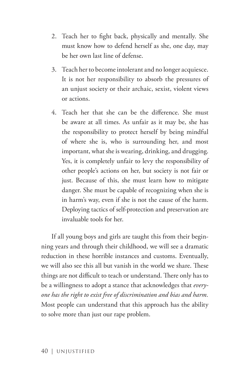- 2. Teach her to fight back, physically and mentally. She must know how to defend herself as she, one day, may be her own last line of defense.
- 3. Teach her to become intolerant and no longer acquiesce. It is not her responsibility to absorb the pressures of an unjust society or their archaic, sexist, violent views or actions.
- 4. Teach her that she can be the difference. She must be aware at all times. As unfair as it may be, she has the responsibility to protect herself by being mindful of where she is, who is surrounding her, and most important, what she is wearing, drinking, and drugging. Yes, it is completely unfair to levy the responsibility of other people's actions on her, but society is not fair or just. Because of this, she must learn how to mitigate danger. She must be capable of recognizing when she is in harm's way, even if she is not the cause of the harm. Deploying tactics of self-protection and preservation are invaluable tools for her.

If all young boys and girls are taught this from their beginning years and through their childhood, we will see a dramatic reduction in these horrible instances and customs. Eventually, we will also see this all but vanish in the world we share. These things are not difficult to teach or understand. There only has to be a willingness to adopt a stance that acknowledges that *everyone has the right to exist free of discrimination and bias and harm.* Most people can understand that this approach has the ability to solve more than just our rape problem.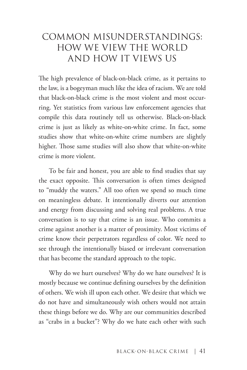# COMMON MISUNDERSTANDINGS: HOW WE VIEW THE WORLD AND HOW IT VIEWS US

The high prevalence of black-on-black crime, as it pertains to the law, is a bogeyman much like the idea of racism. We are told that black-on-black crime is the most violent and most occurring. Yet statistics from various law enforcement agencies that compile this data routinely tell us otherwise. Black-on-black crime is just as likely as white-on-white crime. In fact, some studies show that white-on-white crime numbers are slightly higher. Those same studies will also show that white-on-white crime is more violent.

To be fair and honest, you are able to find studies that say the exact opposite. This conversation is often times designed to "muddy the waters." All too often we spend so much time on meaningless debate. It intentionally diverts our attention and energy from discussing and solving real problems. A true conversation is to say that crime is an issue. Who commits a crime against another is a matter of proximity. Most victims of crime know their perpetrators regardless of color. We need to see through the intentionally biased or irrelevant conversation that has become the standard approach to the topic.

Why do we hurt ourselves? Why do we hate ourselves? It is mostly because we continue defining ourselves by the definition of others. We wish ill upon each other. We desire that which we do not have and simultaneously wish others would not attain these things before we do. Why are our communities described as "crabs in a bucket"? Why do we hate each other with such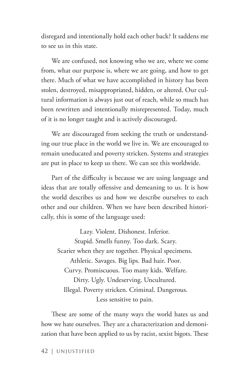disregard and intentionally hold each other back? It saddens me to see us in this state.

We are confused, not knowing who we are, where we come from, what our purpose is, where we are going, and how to get there. Much of what we have accomplished in history has been stolen, destroyed, misappropriated, hidden, or altered. Our cultural information is always just out of reach, while so much has been rewritten and intentionally misrepresented. Today, much of it is no longer taught and is actively discouraged.

We are discouraged from seeking the truth or understanding our true place in the world we live in. We are encouraged to remain uneducated and poverty stricken. Systems and strategies are put in place to keep us there. We can see this worldwide.

Part of the difficulty is because we are using language and ideas that are totally offensive and demeaning to us. It is how the world describes us and how we describe ourselves to each other and our children. When we have been described historically, this is some of the language used:

Lazy. Violent. Dishonest. Inferior. Stupid. Smells funny. Too dark. Scary. Scarier when they are together. Physical specimens. Athletic. Savages. Big lips. Bad hair. Poor. Curvy. Promiscuous. Too many kids. Welfare. Dirty. Ugly. Undeserving. Uncultured. Illegal. Poverty stricken. Criminal. Dangerous. Less sensitive to pain.

These are some of the many ways the world hates us and how we hate ourselves. They are a characterization and demonization that have been applied to us by racist, sexist bigots. These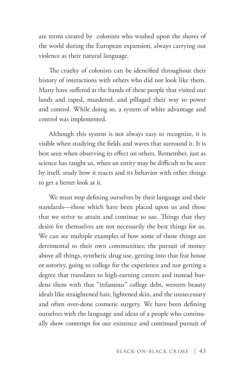are terms created by colonists who washed upon the shores of the world during the European expansion, always carrying out violence as their natural language.

The cruelty of colonists can be identified throughout their history of interactions with others who did not look like them. Many have suffered at the hands of these people that visited our lands and raped, murdered, and pillaged their way to power and control. While doing so, a system of white advantage and control was implemented.

Although this system is not always easy to recognize, it is visible when studying the fields and waves that surround it. It is best seen when observing its effect on others. Remember, just as science has taught us, when an entity may be difficult to be seen by itself, study how it reacts and its behavior with other things to get a better look at it.

We must stop defining ourselves by their language and their standards—those which have been placed upon us and those that we strive to attain and continue to use. Things that they desire for themselves are not necessarily the best things for us. We can see multiple examples of how some of those things are detrimental to their own communities; the pursuit of money above all things, synthetic drug use, getting into that frat house or sorority, going to college for the experience and not getting a degree that translates to high-earning careers and instead burdens them with that "infamous" college debt, western beauty ideals like straightened hair, lightened skin, and the unnecessary and often over-done cosmetic surgery. We have been defining ourselves with the language and ideas of a people who continually show contempt for our existence and continued pursuit of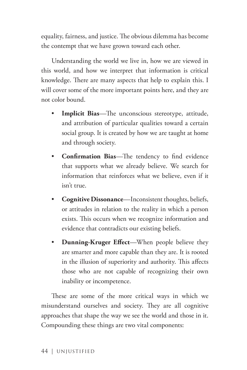equality, fairness, and justice. The obvious dilemma has become the contempt that we have grown toward each other.

Understanding the world we live in, how we are viewed in this world, and how we interpret that information is critical knowledge. There are many aspects that help to explain this. I will cover some of the more important points here, and they are not color bound.

- **Implicit Bias**—The unconscious stereotype, attitude, and attribution of particular qualities toward a certain social group. It is created by how we are taught at home and through society.
- **Confirmation Bias**—The tendency to find evidence that supports what we already believe. We search for information that reinforces what we believe, even if it isn't true.
- **Cognitive Dissonance**—Inconsistent thoughts, beliefs, or attitudes in relation to the reality in which a person exists. This occurs when we recognize information and evidence that contradicts our existing beliefs.
- **Dunning-Kruger Effect**—When people believe they are smarter and more capable than they are. It is rooted in the illusion of superiority and authority. This affects those who are not capable of recognizing their own inability or incompetence.

These are some of the more critical ways in which we misunderstand ourselves and society. They are all cognitive approaches that shape the way we see the world and those in it. Compounding these things are two vital components: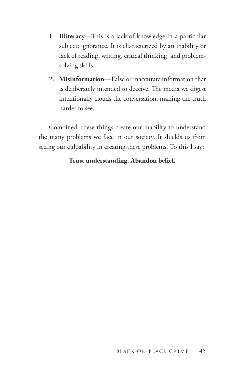- 1. **Illiteracy**—This is a lack of knowledge in a particular subject; ignorance. It is characterized by an inability or lack of reading, writing, critical thinking, and problemsolving skills.
- 2. **Misinformation**—False or inaccurate information that is deliberately intended to deceive. The media we digest intentionally clouds the conversation, making the truth harder to see.

Combined, these things create our inability to understand the many problems we face in our society. It shields us from seeing our culpability in creating these problems. To this I say:

#### **Trust understanding. Abandon belief.**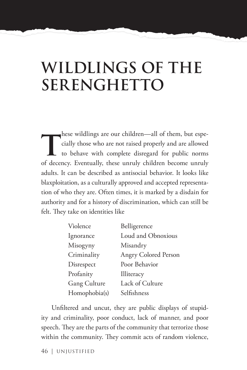# **WILDLINGS OF THE SERENGHETTO**

hese wildlings are our children—all of them, but espe-<br>cially those who are not raised properly and are allowed<br>to behave with complete disregard for public norms<br>of decay we know these words objection because would cially those who are not raised properly and are allowed to behave with complete disregard for public norms of decency. Eventually, these unruly children become unruly adults. It can be described as antisocial behavior. It looks like blaxploitation, as a culturally approved and accepted representation of who they are. Often times, it is marked by a disdain for authority and for a history of discrimination, which can still be felt. They take on identities like

| Violence            | Belligerence                |
|---------------------|-----------------------------|
| Ignorance           | Loud and Obnoxious          |
| Misogyny            | Misandry                    |
| Criminality         | <b>Angry Colored Person</b> |
| Disrespect          | Poor Behavior               |
| Profanity           | Illiteracy                  |
| <b>Gang Culture</b> | Lack of Culture             |
| Homophobia(s)       | Selfishness                 |

Unfiltered and uncut, they are public displays of stupidity and criminality, poor conduct, lack of manner, and poor speech. They are the parts of the community that terrorize those within the community. They commit acts of random violence,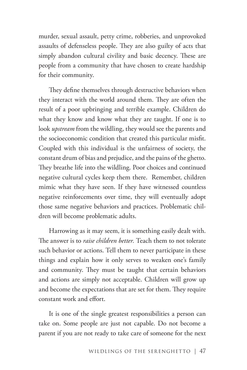murder, sexual assault, petty crime, robberies, and unprovoked assaults of defenseless people. They are also guilty of acts that simply abandon cultural civility and basic decency. These are people from a community that have chosen to create hardship for their community.

They define themselves through destructive behaviors when they interact with the world around them. They are often the result of a poor upbringing and terrible example. Children do what they know and know what they are taught. If one is to look *upstream* from the wildling, they would see the parents and the socioeconomic condition that created this particular misfit. Coupled with this individual is the unfairness of society, the constant drum of bias and prejudice, and the pains of the ghetto. They breathe life into the wildling. Poor choices and continued negative cultural cycles keep them there. Remember, children mimic what they have seen. If they have witnessed countless negative reinforcements over time, they will eventually adopt those same negative behaviors and practices. Problematic children will become problematic adults.

Harrowing as it may seem, it is something easily dealt with. The answer is to *raise children better.* Teach them to not tolerate such behavior or actions. Tell them to never participate in these things and explain how it only serves to weaken one's family and community. They must be taught that certain behaviors and actions are simply not acceptable. Children will grow up and become the expectations that are set for them. They require constant work and effort.

It is one of the single greatest responsibilities a person can take on. Some people are just not capable. Do not become a parent if you are not ready to take care of someone for the next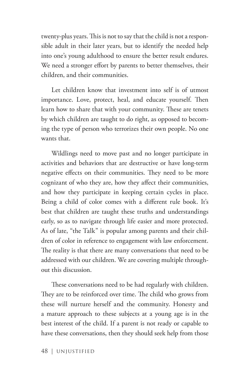twenty-plus years. This is not to say that the child is not a responsible adult in their later years, but to identify the needed help into one's young adulthood to ensure the better result endures. We need a stronger effort by parents to better themselves, their children, and their communities.

Let children know that investment into self is of utmost importance. Love, protect, heal, and educate yourself. Then learn how to share that with your community. These are tenets by which children are taught to do right, as opposed to becoming the type of person who terrorizes their own people. No one wants that.

Wildlings need to move past and no longer participate in activities and behaviors that are destructive or have long-term negative effects on their communities. They need to be more cognizant of who they are, how they affect their communities, and how they participate in keeping certain cycles in place. Being a child of color comes with a different rule book. It's best that children are taught these truths and understandings early, so as to navigate through life easier and more protected. As of late, "the Talk" is popular among parents and their children of color in reference to engagement with law enforcement. The reality is that there are many conversations that need to be addressed with our children. We are covering multiple throughout this discussion.

These conversations need to be had regularly with children. They are to be reinforced over time. The child who grows from these will nurture herself and the community. Honesty and a mature approach to these subjects at a young age is in the best interest of the child. If a parent is not ready or capable to have these conversations, then they should seek help from those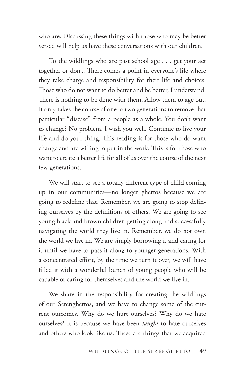who are. Discussing these things with those who may be better versed will help us have these conversations with our children.

To the wildlings who are past school age . . . get your act together or don't. There comes a point in everyone's life where they take charge and responsibility for their life and choices. Those who do not want to do better and be better, I understand. There is nothing to be done with them. Allow them to age out. It only takes the course of one to two generations to remove that particular "disease" from a people as a whole. You don't want to change? No problem. I wish you well. Continue to live your life and do your thing. This reading is for those who do want change and are willing to put in the work. This is for those who want to create a better life for all of us over the course of the next few generations.

We will start to see a totally different type of child coming up in our communities—no longer ghettos because we are going to redefine that. Remember, we are going to stop defining ourselves by the definitions of others. We are going to see young black and brown children getting along and successfully navigating the world they live in. Remember, we do not own the world we live in. We are simply borrowing it and caring for it until we have to pass it along to younger generations. With a concentrated effort, by the time we turn it over, we will have filled it with a wonderful bunch of young people who will be capable of caring for themselves and the world we live in.

We share in the responsibility for creating the wildlings of our Serenghettos, and we have to change some of the current outcomes. Why do we hurt ourselves? Why do we hate ourselves? It is because we have been *taught* to hate ourselves and others who look like us. These are things that we acquired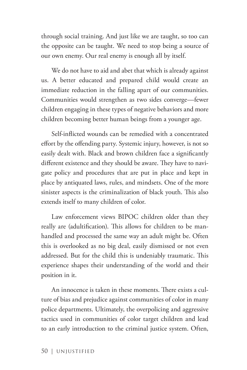through social training. And just like we are taught, so too can the opposite can be taught. We need to stop being a source of our own enemy. Our real enemy is enough all by itself.

We do not have to aid and abet that which is already against us. A better educated and prepared child would create an immediate reduction in the falling apart of our communities. Communities would strengthen as two sides converge—fewer children engaging in these types of negative behaviors and more children becoming better human beings from a younger age.

Self-inflicted wounds can be remedied with a concentrated effort by the offending party. Systemic injury, however, is not so easily dealt with. Black and brown children face a significantly different existence and they should be aware. They have to navigate policy and procedures that are put in place and kept in place by antiquated laws, rules, and mindsets. One of the more sinister aspects is the criminalization of black youth. This also extends itself to many children of color.

Law enforcement views BIPOC children older than they really are (adultification). This allows for children to be manhandled and processed the same way an adult might be. Often this is overlooked as no big deal, easily dismissed or not even addressed. But for the child this is undeniably traumatic. This experience shapes their understanding of the world and their position in it.

An innocence is taken in these moments. There exists a culture of bias and prejudice against communities of color in many police departments. Ultimately, the overpolicing and aggressive tactics used in communities of color target children and lead to an early introduction to the criminal justice system. Often,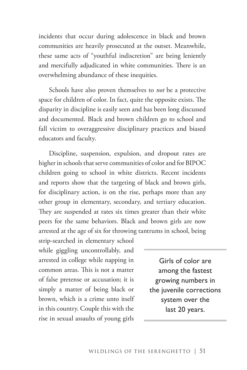incidents that occur during adolescence in black and brown communities are heavily prosecuted at the outset. Meanwhile, these same acts of "youthful indiscretion" are being leniently and mercifully adjudicated in white communities. There is an overwhelming abundance of these inequities.

Schools have also proven themselves to *not* be a protective space for children of color. In fact, quite the opposite exists. The disparity in discipline is easily seen and has been long discussed and documented. Black and brown children go to school and fall victim to overaggressive disciplinary practices and biased educators and faculty.

Discipline, suspension, expulsion, and dropout rates are higher in schools that serve communities of color and for BIPOC children going to school in white districts. Recent incidents and reports show that the targeting of black and brown girls, for disciplinary action, is on the rise, perhaps more than any other group in elementary, secondary, and tertiary education. They are suspended at rates six times greater than their white peers for the same behaviors. Black and brown girls are now arrested at the age of six for throwing tantrums in school, being

strip-searched in elementary school while giggling uncontrollably, and arrested in college while napping in common areas. This is not a matter of false pretense or accusation; it is simply a matter of being black or brown, which is a crime unto itself in this country. Couple this with the rise in sexual assaults of young girls

Girls of color are among the fastest growing numbers in the juvenile corrections system over the last 20 years.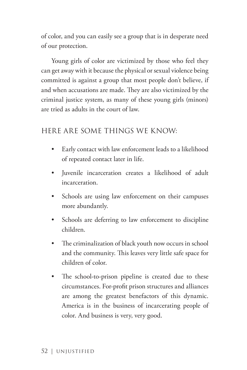of color, and you can easily see a group that is in desperate need of our protection.

Young girls of color are victimized by those who feel they can get away with it because the physical or sexual violence being committed is against a group that most people don't believe, if and when accusations are made. They are also victimized by the criminal justice system, as many of these young girls (minors) are tried as adults in the court of law.

#### HERE ARE SOME THINGS WE KNOW:

- Early contact with law enforcement leads to a likelihood of repeated contact later in life.
- Juvenile incarceration creates a likelihood of adult incarceration.
- Schools are using law enforcement on their campuses more abundantly.
- Schools are deferring to law enforcement to discipline children.
- The criminalization of black youth now occurs in school and the community. This leaves very little safe space for children of color.
- The school-to-prison pipeline is created due to these circumstances. For-profit prison structures and alliances are among the greatest benefactors of this dynamic. America is in the business of incarcerating people of color. And business is very, very good.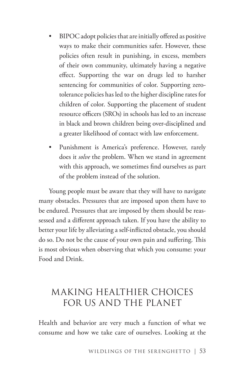- BIPOC adopt policies that are initially offered as positive ways to make their communities safer. However, these policies often result in punishing, in excess, members of their own community, ultimately having a negative effect. Supporting the war on drugs led to harsher sentencing for communities of color. Supporting zerotolerance policies has led to the higher discipline rates for children of color. Supporting the placement of student resource officers (SROs) in schools has led to an increase in black and brown children being over-disciplined and a greater likelihood of contact with law enforcement.
- Punishment is America's preference. However, rarely does it *solve* the problem. When we stand in agreement with this approach, we sometimes find ourselves as part of the problem instead of the solution.

Young people must be aware that they will have to navigate many obstacles. Pressures that are imposed upon them have to be endured. Pressures that are imposed by them should be reassessed and a different approach taken. If you have the ability to better your life by alleviating a self-inflicted obstacle, you should do so. Do not be the cause of your own pain and suffering. This is most obvious when observing that which you consume: your Food and Drink.

# MAKING HEALTHIER CHOICES FOR US AND THE PLANET

Health and behavior are very much a function of what we consume and how we take care of ourselves. Looking at the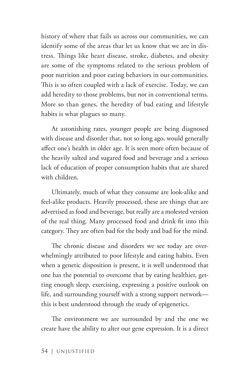history of where that fails us across our communities, we can identify some of the areas that let us know that we are in distress. Things like heart disease, stroke, diabetes, and obesity are some of the symptoms related to the serious problem of poor nutrition and poor eating behaviors in our communities. This is so often coupled with a lack of exercise. Today, we can add heredity to those problems, but not in conventional terms. More so than genes, the heredity of bad eating and lifestyle habits is what plagues so many.

At astonishing rates, younger people are being diagnosed with disease and disorder that, not so long ago, would generally affect one's health in older age. It is seen more often because of the heavily salted and sugared food and beverage and a serious lack of education of proper consumption habits that are shared with children.

Ultimately, much of what they consume are look-alike and feel-alike products. Heavily processed, these are things that are advertised as food and beverage, but really are a molested version of the real thing. Many processed food and drink fit into this category. They are often bad for the body and bad for the mind.

The chronic disease and disorders we see today are overwhelmingly attributed to poor lifestyle and eating habits. Even when a genetic disposition is present, it is well understood that one has the potential to overcome that by eating healthier, getting enough sleep, exercising, expressing a positive outlook on life, and surrounding yourself with a strong support network this is best understood through the study of epigenetics.

The environment we are surrounded by and the one we create have the ability to alter our gene expression. It is a direct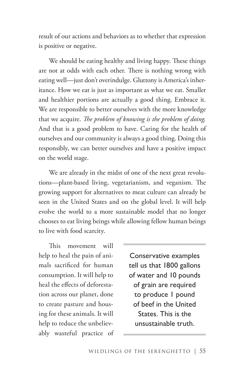result of our actions and behaviors as to whether that expression is positive or negative.

We should be eating healthy and living happy. These things are not at odds with each other. There is nothing wrong with eating well—just don't overindulge. Gluttony is America's inheritance. How we eat is just as important as what we eat. Smaller and healthier portions are actually a good thing. Embrace it. We are responsible to better ourselves with the more knowledge that we acquire. *The problem of knowing is the problem of doing.* And that is a good problem to have. Caring for the health of ourselves and our community is always a good thing. Doing this responsibly, we can better ourselves and have a positive impact on the world stage.

We are already in the midst of one of the next great revolutions—plant-based living, vegetarianism, and veganism. The growing support for alternatives to meat culture can already be seen in the United States and on the global level. It will help evolve the world to a more sustainable model that no longer chooses to eat living beings while allowing fellow human beings to live with food scarcity.

This movement will help to heal the pain of animals sacrificed for human consumption. It will help to heal the effects of deforestation across our planet, done to create pasture and housing for these animals. It will help to reduce the unbelievably wasteful practice of

Conservative examples tell us that 1800 gallons of water and 10 pounds of grain are required to produce 1 pound of beef in the United States. This is the unsustainable truth.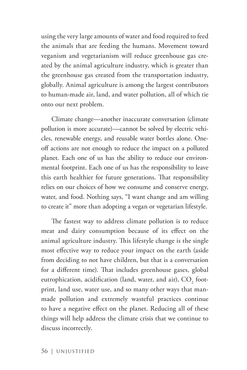using the very large amounts of water and food required to feed the animals that are feeding the humans. Movement toward veganism and vegetarianism will reduce greenhouse gas created by the animal agriculture industry, which is greater than the greenhouse gas created from the transportation industry, globally. Animal agriculture is among the largest contributors to human-made air, land, and water pollution, all of which tie onto our next problem.

Climate change—another inaccurate conversation (climate pollution is more accurate)—cannot be solved by electric vehicles, renewable energy, and reusable water bottles alone. Oneoff actions are not enough to reduce the impact on a polluted planet. Each one of us has the ability to reduce our environmental footprint. Each one of us has the responsibility to leave this earth healthier for future generations. That responsibility relies on our choices of how we consume and conserve energy, water, and food. Nothing says, "I want change and am willing to create it" more than adopting a vegan or vegetarian lifestyle.

The fastest way to address climate pollution is to reduce meat and dairy consumption because of its effect on the animal agriculture industry. This lifestyle change is the single most effective way to reduce your impact on the earth (aside from deciding to not have children, but that is a conversation for a different time). That includes greenhouse gases, global eutrophication, acidification (land, water, and air),  $\mathrm{CO}_\mathrm{2}$  footprint, land use, water use, and so many other ways that manmade pollution and extremely wasteful practices continue to have a negative effect on the planet. Reducing all of these things will help address the climate crisis that we continue to discuss incorrectly.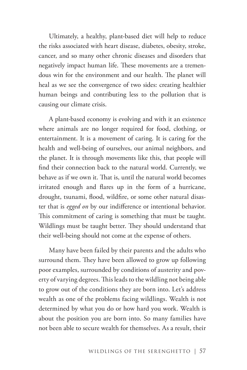Ultimately, a healthy, plant-based diet will help to reduce the risks associated with heart disease, diabetes, obesity, stroke, cancer, and so many other chronic diseases and disorders that negatively impact human life. These movements are a tremendous win for the environment and our health. The planet will heal as we see the convergence of two sides: creating healthier human beings and contributing less to the pollution that is causing our climate crisis.

A plant-based economy is evolving and with it an existence where animals are no longer required for food, clothing, or entertainment. It is a movement of caring. It is caring for the health and well-being of ourselves, our animal neighbors, and the planet. It is through movements like this, that people will find their connection back to the natural world. Currently, we behave as if we own it. That is, until the natural world becomes irritated enough and flares up in the form of a hurricane, drought, tsunami, flood, wildfire, or some other natural disaster that is *egged on* by our indifference or intentional behavior. This commitment of caring is something that must be taught. Wildlings must be taught better. They should understand that their well-being should not come at the expense of others.

Many have been failed by their parents and the adults who surround them. They have been allowed to grow up following poor examples, surrounded by conditions of austerity and poverty of varying degrees. This leads to the wildling not being able to grow out of the conditions they are born into. Let's address wealth as one of the problems facing wildlings. Wealth is not determined by what you do or how hard you work. Wealth is about the position you are born into. So many families have not been able to secure wealth for themselves. As a result, their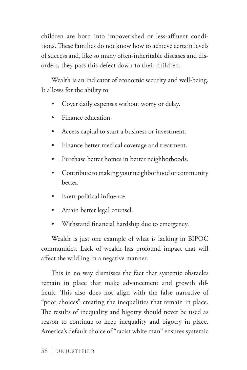children are born into impoverished or less-affluent conditions. These families do not know how to achieve certain levels of success and, like so many often-inheritable diseases and disorders, they pass this defect down to their children.

Wealth is an indicator of economic security and well-being. It allows for the ability to

- Cover daily expenses without worry or delay.
- Finance education.
- Access capital to start a business or investment.
- Finance better medical coverage and treatment.
- Purchase better homes in better neighborhoods.
- Contribute to making your neighborhood or community better.
- Exert political influence.
- Attain better legal counsel.
- Withstand financial hardship due to emergency.

Wealth is just one example of what is lacking in BIPOC communities. Lack of wealth has profound impact that will affect the wildling in a negative manner.

This in no way dismisses the fact that systemic obstacles remain in place that make advancement and growth difficult. This also does not align with the false narrative of "poor choices" creating the inequalities that remain in place. The results of inequality and bigotry should never be used as reason to continue to keep inequality and bigotry in place. America's default choice of "racist white man" ensures systemic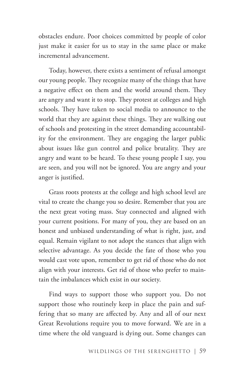obstacles endure. Poor choices committed by people of color just make it easier for us to stay in the same place or make incremental advancement.

Today, however, there exists a sentiment of refusal amongst our young people. They recognize many of the things that have a negative effect on them and the world around them. They are angry and want it to stop. They protest at colleges and high schools. They have taken to social media to announce to the world that they are against these things. They are walking out of schools and protesting in the street demanding accountability for the environment. They are engaging the larger public about issues like gun control and police brutality. They are angry and want to be heard. To these young people I say, you are seen, and you will not be ignored. You are angry and your anger is justified.

Grass roots protests at the college and high school level are vital to create the change you so desire. Remember that you are the next great voting mass. Stay connected and aligned with your current positions. For many of you, they are based on an honest and unbiased understanding of what is right, just, and equal. Remain vigilant to not adopt the stances that align with selective advantage. As you decide the fate of those who you would cast vote upon, remember to get rid of those who do not align with your interests. Get rid of those who prefer to maintain the imbalances which exist in our society.

Find ways to support those who support you. Do not support those who routinely keep in place the pain and suffering that so many are affected by. Any and all of our next Great Revolutions require you to move forward. We are in a time where the old vanguard is dying out. Some changes can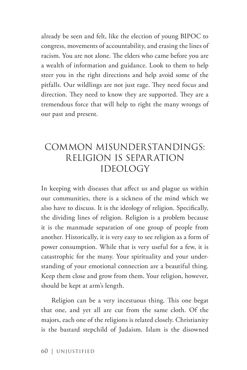already be seen and felt, like the election of young BIPOC to congress, movements of accountability, and erasing the lines of racism. You are not alone. The elders who came before you are a wealth of information and guidance. Look to them to help steer you in the right directions and help avoid some of the pitfalls. Our wildlings are not just rage. They need focus and direction. They need to know they are supported. They are a tremendous force that will help to right the many wrongs of our past and present.

# COMMON MISUNDERSTANDINGS: RELIGION IS SEPARATION IDEOLOGY

In keeping with diseases that affect us and plague us within our communities, there is a sickness of the mind which we also have to discuss. It is the ideology of religion. Specifically, the dividing lines of religion. Religion is a problem because it is the manmade separation of one group of people from another. Historically, it is very easy to see religion as a form of power consumption. While that is very useful for a few, it is catastrophic for the many. Your spirituality and your understanding of your emotional connection are a beautiful thing. Keep them close and grow from them. Your religion, however, should be kept at arm's length.

Religion can be a very incestuous thing. This one begat that one, and yet all are cut from the same cloth. Of the majors, each one of the religions is related closely. Christianity is the bastard stepchild of Judaism. Islam is the disowned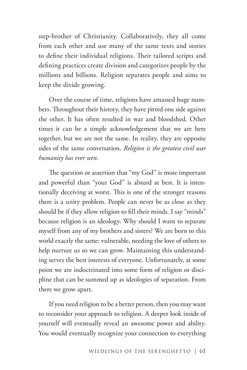step-brother of Christianity. Collaboratively, they all come from each other and use many of the same texts and stories to define their individual religions. Their tailored scripts and defining practices create division and categorizes people by the millions and billions. Religion separates people and aims to keep the divide growing.

Over the course of time, religions have amassed huge numbers. Throughout their history, they have pitted one side against the other. It has often resulted in war and bloodshed. Other times it can be a simple acknowledgement that we are here together, but we are not the same. In reality, they are opposite sides of the same conversation. *Religion is the greatest civil war humanity has ever seen.*

The question or assertion that "my God" is more important and powerful than "your God" is absurd at best. It is intentionally deceiving at worst. This is one of the stronger reasons there is a unity problem. People can never be as close as they should be if they allow religion to fill their minds. I say "minds" because religion is an ideology. Why should I want to separate myself from any of my brothers and sisters? We are born to this world exactly the same: vulnerable, needing the love of others to help nurture us so we can grow. Maintaining this understanding serves the best interests of everyone. Unfortunately, at some point we are indoctrinated into some form of religion or discipline that can be summed up as ideologies of separation. From there we grow apart.

If you need religion to be a better person, then you may want to reconsider your approach to religion. A deeper look inside of yourself will eventually reveal an awesome power and ability. You would eventually recognize your connection to everything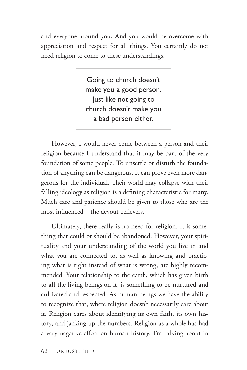and everyone around you. And you would be overcome with appreciation and respect for all things. You certainly do not need religion to come to these understandings.

> Going to church doesn't make you a good person. Just like not going to church doesn't make you a bad person either.

However, I would never come between a person and their religion because I understand that it may be part of the very foundation of some people. To unsettle or disturb the foundation of anything can be dangerous. It can prove even more dangerous for the individual. Their world may collapse with their falling ideology as religion is a defining characteristic for many. Much care and patience should be given to those who are the most influenced—the devout believers.

Ultimately, there really is no need for religion. It is something that could or should be abandoned. However, your spirituality and your understanding of the world you live in and what you are connected to, as well as knowing and practicing what is right instead of what is wrong, are highly recommended. Your relationship to the earth, which has given birth to all the living beings on it, is something to be nurtured and cultivated and respected. As human beings we have the ability to recognize that, where religion doesn't necessarily care about it. Religion cares about identifying its own faith, its own history, and jacking up the numbers. Religion as a whole has had a very negative effect on human history. I'm talking about in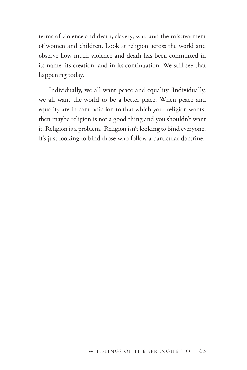terms of violence and death, slavery, war, and the mistreatment of women and children. Look at religion across the world and observe how much violence and death has been committed in its name, its creation, and in its continuation. We still see that happening today.

Individually, we all want peace and equality. Individually, we all want the world to be a better place. When peace and equality are in contradiction to that which your religion wants, then maybe religion is not a good thing and you shouldn't want it. Religion is a problem. Religion isn't looking to bind everyone. It's just looking to bind those who follow a particular doctrine.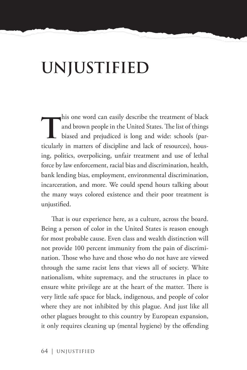# **UNJUSTIFIED**

his one word can easily describe the treatment of black<br>and brown people in the United States. The list of things<br>biased and prejudiced is long and wide: schools (par-<br>timbularly in matters of discipline and back of resour and brown people in the United States. The list of things biased and prejudiced is long and wide: schools (particularly in matters of discipline and lack of resources), housing, politics, overpolicing, unfair treatment and use of lethal force by law enforcement, racial bias and discrimination, health, bank lending bias, employment, environmental discrimination, incarceration, and more. We could spend hours talking about the many ways colored existence and their poor treatment is unjustified.

That is our experience here, as a culture, across the board. Being a person of color in the United States is reason enough for most probable cause. Even class and wealth distinction will not provide 100 percent immunity from the pain of discrimination. Those who have and those who do not have are viewed through the same racist lens that views all of society. White nationalism, white supremacy, and the structures in place to ensure white privilege are at the heart of the matter. There is very little safe space for black, indigenous, and people of color where they are not inhibited by this plague. And just like all other plagues brought to this country by European expansion, it only requires cleaning up (mental hygiene) by the offending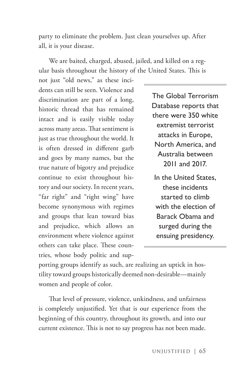party to eliminate the problem. Just clean yourselves up. After all, it is your disease.

We are baited, charged, abused, jailed, and killed on a regular basis throughout the history of the United States. This is

not just "old news," as these incidents can still be seen. Violence and discrimination are part of a long, historic thread that has remained intact and is easily visible today across many areas. That sentiment is just as true throughout the world. It is often dressed in different garb and goes by many names, but the true nature of bigotry and prejudice continue to exist throughout history and our society. In recent years, "far right" and "right wing" have become synonymous with regimes and groups that lean toward bias and prejudice, which allows an environment where violence against others can take place. These countries, whose body politic and sup-

The Global Terrorism Database reports that there were 350 white extremist terrorist attacks in Europe, North America, and Australia between 2011 and 2017.

In the United States, these incidents started to climb with the election of Barack Obama and surged during the ensuing presidency.

porting groups identify as such, are realizing an uptick in hostility toward groups historically deemed non-desirable—mainly women and people of color.

That level of pressure, violence, unkindness, and unfairness is completely unjustified. Yet that is our experience from the beginning of this country, throughout its growth, and into our current existence. This is not to say progress has not been made.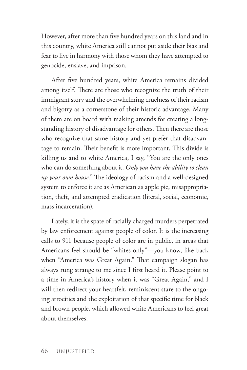However, after more than five hundred years on this land and in this country, white America still cannot put aside their bias and fear to live in harmony with those whom they have attempted to genocide, enslave, and imprison.

After five hundred years, white America remains divided among itself. There are those who recognize the truth of their immigrant story and the overwhelming cruelness of their racism and bigotry as a cornerstone of their historic advantage. Many of them are on board with making amends for creating a longstanding history of disadvantage for others. Then there are those who recognize that same history and yet prefer that disadvantage to remain. Their benefit is more important. This divide is killing us and to white America, I say, "You are the only ones who can do something about it. *Only you have the ability to clean up your own house*." The ideology of racism and a well-designed system to enforce it are as American as apple pie, misappropriation, theft, and attempted eradication (literal, social, economic, mass incarceration).

Lately, it is the spate of racially charged murders perpetrated by law enforcement against people of color. It is the increasing calls to 911 because people of color are in public, in areas that Americans feel should be "whites only"—you know, like back when "America was Great Again." That campaign slogan has always rung strange to me since I first heard it. Please point to a time in America's history when it was "Great Again," and I will then redirect your heartfelt, reminiscent stare to the ongoing atrocities and the exploitation of that specific time for black and brown people, which allowed white Americans to feel great about themselves.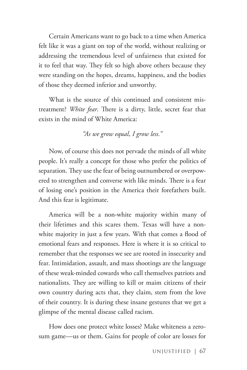Certain Americans want to go back to a time when America felt like it was a giant on top of the world, without realizing or addressing the tremendous level of unfairness that existed for it to feel that way. They felt so high above others because they were standing on the hopes, dreams, happiness, and the bodies of those they deemed inferior and unworthy.

What is the source of this continued and consistent mistreatment? *White fear*. There is a dirty, little, secret fear that exists in the mind of White America:

#### *"As we grow equal, I grow less."*

Now, of course this does not pervade the minds of all white people. It's really a concept for those who prefer the politics of separation. They use the fear of being outnumbered or overpowered to strengthen and converse with like minds. There is a fear of losing one's position in the America their forefathers built. And this fear is legitimate.

America will be a non-white majority within many of their lifetimes and this scares them. Texas will have a nonwhite majority in just a few years. With that comes a flood of emotional fears and responses. Here is where it is so critical to remember that the responses we see are rooted in insecurity and fear. Intimidation, assault, and mass shootings are the language of these weak-minded cowards who call themselves patriots and nationalists. They are willing to kill or maim citizens of their own country during acts that, they claim, stem from the love of their country. It is during these insane gestures that we get a glimpse of the mental disease called racism.

How does one protect white losses? Make whiteness a zerosum game—us or them. Gains for people of color are losses for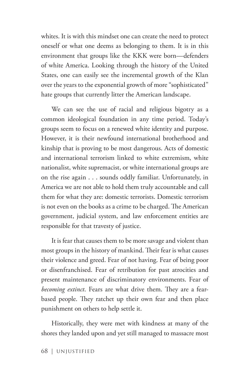whites. It is with this mindset one can create the need to protect oneself or what one deems as belonging to them. It is in this environment that groups like the KKK were born—defenders of white America. Looking through the history of the United States, one can easily see the incremental growth of the Klan over the years to the exponential growth of more "sophisticated" hate groups that currently litter the American landscape.

We can see the use of racial and religious bigotry as a common ideological foundation in any time period. Today's groups seem to focus on a renewed white identity and purpose. However, it is their newfound international brotherhood and kinship that is proving to be most dangerous. Acts of domestic and international terrorism linked to white extremism, white nationalist, white supremacist, or white international groups are on the rise again . . . sounds oddly familiar. Unfortunately, in America we are not able to hold them truly accountable and call them for what they are: domestic terrorists. Domestic terrorism is not even on the books as a crime to be charged. The American government, judicial system, and law enforcement entities are responsible for that travesty of justice.

It is fear that causes them to be more savage and violent than most groups in the history of mankind. Their fear is what causes their violence and greed. Fear of not having. Fear of being poor or disenfranchised. Fear of retribution for past atrocities and present maintenance of discriminatory environments. Fear of *becoming extinct*. Fears are what drive them. They are a fearbased people. They ratchet up their own fear and then place punishment on others to help settle it.

Historically, they were met with kindness at many of the shores they landed upon and yet still managed to massacre most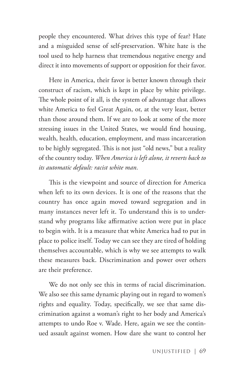people they encountered. What drives this type of fear? Hate and a misguided sense of self-preservation. White hate is the tool used to help harness that tremendous negative energy and direct it into movements of support or opposition for their favor.

Here in America, their favor is better known through their construct of racism, which is kept in place by white privilege. The whole point of it all, is the system of advantage that allows white America to feel Great Again, or, at the very least, better than those around them. If we are to look at some of the more stressing issues in the United States, we would find housing, wealth, health, education, employment, and mass incarceration to be highly segregated. This is not just "old news," but a reality of the country today. *When America is left alone, it reverts back to its automatic default: racist white man.*

This is the viewpoint and source of direction for America when left to its own devices. It is one of the reasons that the country has once again moved toward segregation and in many instances never left it. To understand this is to understand why programs like affirmative action were put in place to begin with. It is a measure that white America had to put in place to police itself. Today we can see they are tired of holding themselves accountable, which is why we see attempts to walk these measures back. Discrimination and power over others are their preference.

We do not only see this in terms of racial discrimination. We also see this same dynamic playing out in regard to women's rights and equality. Today, specifically, we see that same discrimination against a woman's right to her body and America's attempts to undo Roe v. Wade. Here, again we see the continued assault against women. How dare she want to control her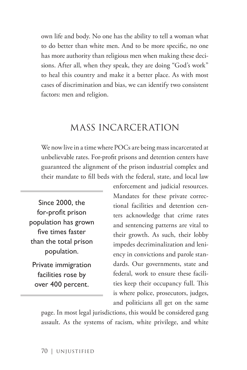own life and body. No one has the ability to tell a woman what to do better than white men. And to be more specific, no one has more authority than religious men when making these decisions. After all, when they speak, they are doing "God's work" to heal this country and make it a better place. As with most cases of discrimination and bias, we can identify two consistent factors: men and religion.

#### MASS INCARCERATION

We now live in a time where POCs are being mass incarcerated at unbelievable rates. For-profit prisons and detention centers have guaranteed the alignment of the prison industrial complex and their mandate to fill beds with the federal, state, and local law

Since 2000, the for-profit prison population has grown five times faster than the total prison population.

Private immigration facilities rose by over 400 percent.

enforcement and judicial resources. Mandates for these private correctional facilities and detention centers acknowledge that crime rates and sentencing patterns are vital to their growth. As such, their lobby impedes decriminalization and leniency in convictions and parole standards. Our governments, state and federal, work to ensure these facilities keep their occupancy full. This is where police, prosecutors, judges, and politicians all get on the same

page. In most legal jurisdictions, this would be considered gang assault. As the systems of racism, white privilege, and white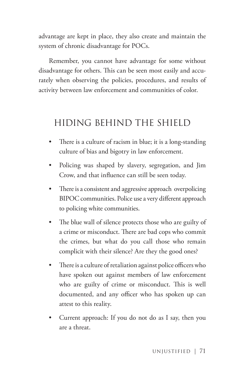advantage are kept in place, they also create and maintain the system of chronic disadvantage for POCs.

Remember, you cannot have advantage for some without disadvantage for others. This can be seen most easily and accurately when observing the policies, procedures, and results of activity between law enforcement and communities of color.

#### HIDING BEHIND THE SHIELD

- There is a culture of racism in blue; it is a long-standing culture of bias and bigotry in law enforcement.
- Policing was shaped by slavery, segregation, and Jim Crow, and that influence can still be seen today.
- There is a consistent and aggressive approach overpolicing BIPOC communities. Police use a very different approach to policing white communities.
- The blue wall of silence protects those who are guilty of a crime or misconduct. There are bad cops who commit the crimes, but what do you call those who remain complicit with their silence? Are they the good ones?
- There is a culture of retaliation against police officers who have spoken out against members of law enforcement who are guilty of crime or misconduct. This is well documented, and any officer who has spoken up can attest to this reality.
- Current approach: If you do not do as I say, then you are a threat.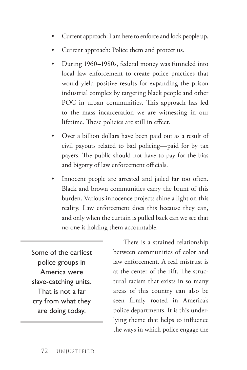- Current approach: I am here to enforce and lock people up.
- Current approach: Police them and protect us.
- During 1960–1980s, federal money was funneled into local law enforcement to create police practices that would yield positive results for expanding the prison industrial complex by targeting black people and other POC in urban communities. This approach has led to the mass incarceration we are witnessing in our lifetime. These policies are still in effect.
- Over a billion dollars have been paid out as a result of civil payouts related to bad policing—paid for by tax payers. The public should not have to pay for the bias and bigotry of law enforcement officials.
- Innocent people are arrested and jailed far too often. Black and brown communities carry the brunt of this burden. Various innocence projects shine a light on this reality. Law enforcement does this because they can, and only when the curtain is pulled back can we see that no one is holding them accountable.

Some of the earliest police groups in America were slave-catching units. That is not a far cry from what they are doing today.

There is a strained relationship between communities of color and law enforcement. A real mistrust is at the center of the rift. The structural racism that exists in so many areas of this country can also be seen firmly rooted in America's police departments. It is this underlying theme that helps to influence the ways in which police engage the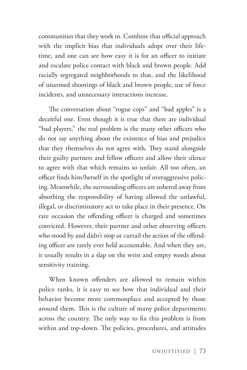communities that they work in. Combine that official approach with the implicit bias that individuals adopt over their lifetime, and one can see how easy it is for an officer to initiate and escalate police contact with black and brown people. Add racially segregated neighborhoods to that, and the likelihood of unarmed shootings of black and brown people, use of force incidents, and unnecessary interactions increase.

The conversation about "rogue cops" and "bad apples" is a deceitful one. Even though it is true that there are individual "bad players," the real problem is the many other officers who do not say anything about the existence of bias and prejudice that they themselves do not agree with. They stand alongside their guilty partners and fellow officers and allow their silence to agree with that which remains so unfair. All too often, an officer finds him/herself in the spotlight of overaggressive policing. Meanwhile, the surrounding officers are ushered away from absorbing the responsibility of having allowed the unlawful, illegal, or discriminatory act to take place in their presence. On rare occasion the offending officer is charged and sometimes convicted. However, their partner and other observing officers who stood by and didn't stop or curtail the action of the offending officer are rarely ever held accountable. And when they are, it usually results in a slap on the wrist and empty words about sensitivity training.

When known offenders are allowed to remain within police ranks, it is easy to see how that individual and their behavior become more commonplace and accepted by those around them. This is the culture of many police departments across the country. The only way to fix this problem is from within and top-down. The policies, procedures, and attitudes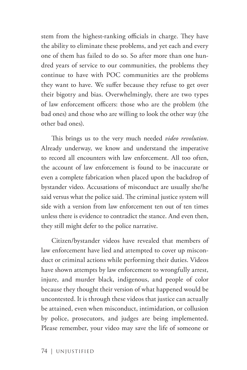stem from the highest-ranking officials in charge. They have the ability to eliminate these problems, and yet each and every one of them has failed to do so. So after more than one hundred years of service to our communities, the problems they continue to have with POC communities are the problems they want to have. We suffer because they refuse to get over their bigotry and bias. Overwhelmingly, there are two types of law enforcement officers: those who are the problem (the bad ones) and those who are willing to look the other way (the other bad ones).

This brings us to the very much needed *video revolution*. Already underway, we know and understand the imperative to record all encounters with law enforcement. All too often, the account of law enforcement is found to be inaccurate or even a complete fabrication when placed upon the backdrop of bystander video. Accusations of misconduct are usually she/he said versus what the police said. The criminal justice system will side with a version from law enforcement ten out of ten times unless there is evidence to contradict the stance. And even then, they still might defer to the police narrative.

Citizen/bystander videos have revealed that members of law enforcement have lied and attempted to cover up misconduct or criminal actions while performing their duties. Videos have shown attempts by law enforcement to wrongfully arrest, injure, and murder black, indigenous, and people of color because they thought their version of what happened would be uncontested. It is through these videos that justice can actually be attained, even when misconduct, intimidation, or collusion by police, prosecutors, and judges are being implemented. Please remember, your video may save the life of someone or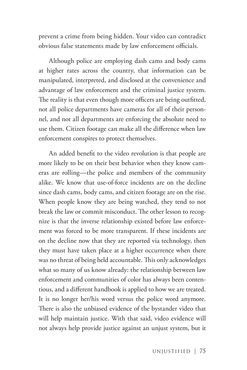prevent a crime from being hidden. Your video can contradict obvious false statements made by law enforcement officials.

Although police are employing dash cams and body cams at higher rates across the country, that information can be manipulated, interpreted, and disclosed at the convenience and advantage of law enforcement and the criminal justice system. The reality is that even though more officers are being outfitted, not all police departments have cameras for all of their personnel, and not all departments are enforcing the absolute need to use them. Citizen footage can make all the difference when law enforcement conspires to protect themselves.

An added benefit to the video revolution is that people are more likely to be on their best behavior when they know cameras are rolling—the police and members of the community alike. We know that use-of-force incidents are on the decline since dash cams, body cams, and citizen footage are on the rise. When people know they are being watched, they tend to not break the law or commit misconduct. The other lesson to recognize is that the inverse relationship existed before law enforcement was forced to be more transparent. If these incidents are on the decline now that they are reported via technology, then they must have taken place at a higher occurrence when there was no threat of being held accountable. This only acknowledges what so many of us know already: the relationship between law enforcement and communities of color has always been contentious, and a different handbook is applied to how we are treated. It is no longer her/his word versus the police word anymore. There is also the unbiased evidence of the bystander video that will help maintain justice. With that said, video evidence will not always help provide justice against an unjust system, but it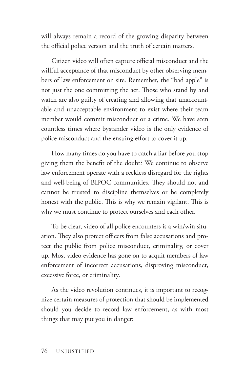will always remain a record of the growing disparity between the official police version and the truth of certain matters.

Citizen video will often capture official misconduct and the willful acceptance of that misconduct by other observing members of law enforcement on site. Remember, the "bad apple" is not just the one committing the act. Those who stand by and watch are also guilty of creating and allowing that unaccountable and unacceptable environment to exist where their team member would commit misconduct or a crime. We have seen countless times where bystander video is the only evidence of police misconduct and the ensuing effort to cover it up.

How many times do you have to catch a liar before you stop giving them the benefit of the doubt? We continue to observe law enforcement operate with a reckless disregard for the rights and well-being of BIPOC communities. They should not and cannot be trusted to discipline themselves or be completely honest with the public. This is why we remain vigilant. This is why we must continue to protect ourselves and each other.

To be clear, video of all police encounters is a win/win situation. They also protect officers from false accusations and protect the public from police misconduct, criminality, or cover up. Most video evidence has gone on to acquit members of law enforcement of incorrect accusations, disproving misconduct, excessive force, or criminality.

As the video revolution continues, it is important to recognize certain measures of protection that should be implemented should you decide to record law enforcement, as with most things that may put you in danger: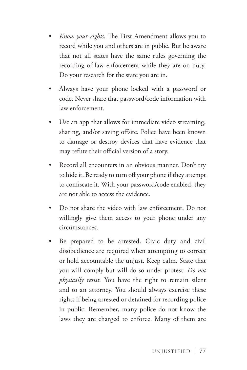- *Know your rights*. The First Amendment allows you to record while you and others are in public. But be aware that not all states have the same rules governing the recording of law enforcement while they are on duty. Do your research for the state you are in.
- Always have your phone locked with a password or code. Never share that password/code information with law enforcement.
- Use an app that allows for immediate video streaming, sharing, and/or saving offsite. Police have been known to damage or destroy devices that have evidence that may refute their official version of a story.
- Record all encounters in an obvious manner. Don't try to hide it. Be ready to turn off your phone if they attempt to confiscate it. With your password/code enabled, they are not able to access the evidence.
- Do not share the video with law enforcement. Do not willingly give them access to your phone under any circumstances.
- Be prepared to be arrested. Civic duty and civil disobedience are required when attempting to correct or hold accountable the unjust. Keep calm. State that you will comply but will do so under protest. *Do not physically resist.* You have the right to remain silent and to an attorney. You should always exercise these rights if being arrested or detained for recording police in public. Remember, many police do not know the laws they are charged to enforce. Many of them are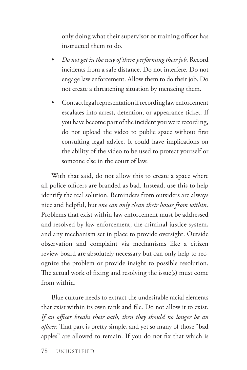only doing what their supervisor or training officer has instructed them to do.

- *Do not get in the way of them performing their job*. Record incidents from a safe distance. Do not interfere. Do not engage law enforcement. Allow them to do their job. Do not create a threatening situation by menacing them.
- Contact legal representation if recording law enforcement escalates into arrest, detention, or appearance ticket. If you have become part of the incident you were recording, do not upload the video to public space without first consulting legal advice. It could have implications on the ability of the video to be used to protect yourself or someone else in the court of law.

With that said, do not allow this to create a space where all police officers are branded as bad. Instead, use this to help identify the real solution. Reminders from outsiders are always nice and helpful, but *one can only clean their house from within.* Problems that exist within law enforcement must be addressed and resolved by law enforcement, the criminal justice system, and any mechanism set in place to provide oversight. Outside observation and complaint via mechanisms like a citizen review board are absolutely necessary but can only help to recognize the problem or provide insight to possible resolution. The actual work of fixing and resolving the issue(s) must come from within.

Blue culture needs to extract the undesirable racial elements that exist within its own rank and file. Do not allow it to exist. *If an officer breaks their oath, then they should no longer be an officer.* That part is pretty simple, and yet so many of those "bad apples" are allowed to remain. If you do not fix that which is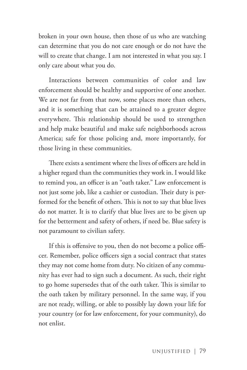broken in your own house, then those of us who are watching can determine that you do not care enough or do not have the will to create that change. I am not interested in what you say. I only care about what you do.

Interactions between communities of color and law enforcement should be healthy and supportive of one another. We are not far from that now, some places more than others, and it is something that can be attained to a greater degree everywhere. This relationship should be used to strengthen and help make beautiful and make safe neighborhoods across America; safe for those policing and, more importantly, for those living in these communities.

There exists a sentiment where the lives of officers are held in a higher regard than the communities they work in. I would like to remind you, an officer is an "oath taker." Law enforcement is not just some job, like a cashier or custodian. Their duty is performed for the benefit of others. This is not to say that blue lives do not matter. It is to clarify that blue lives are to be given up for the betterment and safety of others, if need be. Blue safety is not paramount to civilian safety.

If this is offensive to you, then do not become a police officer. Remember, police officers sign a social contract that states they may not come home from duty. No citizen of any community has ever had to sign such a document. As such, their right to go home supersedes that of the oath taker. This is similar to the oath taken by military personnel. In the same way, if you are not ready, willing, or able to possibly lay down your life for your country (or for law enforcement, for your community), do not enlist.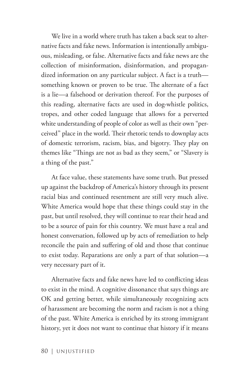We live in a world where truth has taken a back seat to alternative facts and fake news. Information is intentionally ambiguous, misleading, or false. Alternative facts and fake news are the collection of misinformation, disinformation, and propagandized information on any particular subject. A fact is a truth something known or proven to be true. The alternate of a fact is a lie—a falsehood or derivation thereof. For the purposes of this reading, alternative facts are used in dog-whistle politics, tropes, and other coded language that allows for a perverted white understanding of people of color as well as their own "perceived" place in the world. Their rhetoric tends to downplay acts of domestic terrorism, racism, bias, and bigotry. They play on themes like "Things are not as bad as they seem," or "Slavery is a thing of the past."

At face value, these statements have some truth. But pressed up against the backdrop of America's history through its present racial bias and continued resentment are still very much alive. White America would hope that these things could stay in the past, but until resolved, they will continue to rear their head and to be a source of pain for this country. We must have a real and honest conversation, followed up by acts of remediation to help reconcile the pain and suffering of old and those that continue to exist today. Reparations are only a part of that solution—a very necessary part of it.

Alternative facts and fake news have led to conflicting ideas to exist in the mind. A cognitive dissonance that says things are OK and getting better, while simultaneously recognizing acts of harassment are becoming the norm and racism is not a thing of the past. White America is enriched by its strong immigrant history, yet it does not want to continue that history if it means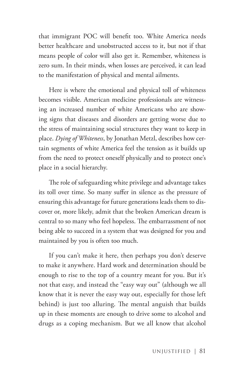that immigrant POC will benefit too. White America needs better healthcare and unobstructed access to it, but not if that means people of color will also get it. Remember, whiteness is zero sum. In their minds, when losses are perceived, it can lead to the manifestation of physical and mental ailments.

Here is where the emotional and physical toll of whiteness becomes visible. American medicine professionals are witnessing an increased number of white Americans who are showing signs that diseases and disorders are getting worse due to the stress of maintaining social structures they want to keep in place. *Dying of Whiteness*, by Jonathan Metzl, describes how certain segments of white America feel the tension as it builds up from the need to protect oneself physically and to protect one's place in a social hierarchy.

The role of safeguarding white privilege and advantage takes its toll over time. So many suffer in silence as the pressure of ensuring this advantage for future generations leads them to discover or, more likely, admit that the broken American dream is central to so many who feel hopeless. The embarrassment of not being able to succeed in a system that was designed for you and maintained by you is often too much.

If you can't make it here, then perhaps you don't deserve to make it anywhere. Hard work and determination should be enough to rise to the top of a country meant for you. But it's not that easy, and instead the "easy way out" (although we all know that it is never the easy way out, especially for those left behind) is just too alluring. The mental anguish that builds up in these moments are enough to drive some to alcohol and drugs as a coping mechanism. But we all know that alcohol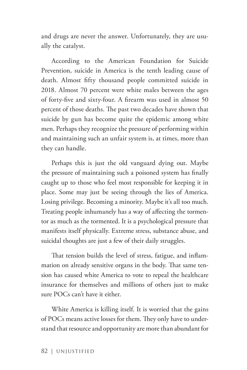and drugs are never the answer. Unfortunately, they are usually the catalyst.

According to the American Foundation for Suicide Prevention, suicide in America is the tenth leading cause of death. Almost fifty thousand people committed suicide in 2018. Almost 70 percent were white males between the ages of forty-five and sixty-four. A firearm was used in almost 50 percent of those deaths. The past two decades have shown that suicide by gun has become quite the epidemic among white men. Perhaps they recognize the pressure of performing within and maintaining such an unfair system is, at times, more than they can handle.

Perhaps this is just the old vanguard dying out. Maybe the pressure of maintaining such a poisoned system has finally caught up to those who feel most responsible for keeping it in place. Some may just be seeing through the lies of America. Losing privilege. Becoming a minority. Maybe it's all too much. Treating people inhumanely has a way of affecting the tormentor as much as the tormented. It is a psychological pressure that manifests itself physically. Extreme stress, substance abuse, and suicidal thoughts are just a few of their daily struggles.

That tension builds the level of stress, fatigue, and inflammation on already sensitive organs in the body. That same tension has caused white America to vote to repeal the healthcare insurance for themselves and millions of others just to make sure POCs can't have it either.

White America is killing itself. It is worried that the gains of POCs means active losses for them. They only have to understand that resource and opportunity are more than abundant for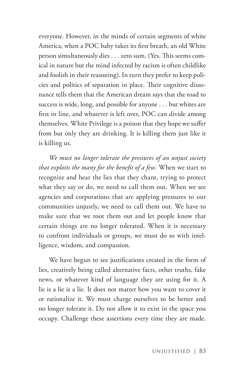everyone. However, in the minds of certain segments of white America, when a POC baby takes its first breath, an old White person simultaneously dies . . . zero sum. (Yes. This seems comical in nature but the mind infected by racism is often childlike and foolish in their reasoning). In turn they prefer to keep policies and politics of separation in place. Their cognitive dissonance tells them that the American dream says that the road to success is wide, long, and possible for anyone . . . but whites are first in line, and whatever is left over, POC can divide among themselves. White Privilege is a poison that they hope we suffer from but only they are drinking. It is killing them just like it is killing us.

*We must no longer tolerate the pressures of an unjust society that exploits the many for the benefit of a few.* When we start to recognize and hear the lies that they chant, trying to protect what they say or do, we need to call them out. When we see agencies and corporations that are applying pressures to our communities unjustly, we need to call them out. We have to make sure that we root them out and let people know that certain things are no longer tolerated. When it is necessary to confront individuals or groups, we must do so with intelligence, wisdom, and compassion.

We have begun to see justifications created in the form of lies, creatively being called alternative facts, other truths, fake news, or whatever kind of language they are using for it. A lie is a lie is a lie. It does not matter how you want to cover it or rationalize it. We must charge ourselves to be better and no longer tolerate it. Do not allow it to exist in the space you occupy. Challenge these assertions every time they are made.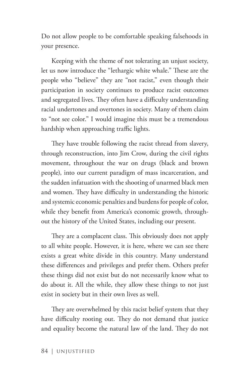Do not allow people to be comfortable speaking falsehoods in your presence.

Keeping with the theme of not tolerating an unjust society, let us now introduce the "lethargic white whale." These are the people who "believe" they are "not racist," even though their participation in society continues to produce racist outcomes and segregated lives. They often have a difficulty understanding racial undertones and overtones in society. Many of them claim to "not see color." I would imagine this must be a tremendous hardship when approaching traffic lights.

They have trouble following the racist thread from slavery, through reconstruction, into Jim Crow, during the civil rights movement, throughout the war on drugs (black and brown people), into our current paradigm of mass incarceration, and the sudden infatuation with the shooting of unarmed black men and women. They have difficulty in understanding the historic and systemic economic penalties and burdens for people of color, while they benefit from America's economic growth, throughout the history of the United States, including our present.

They are a complacent class. This obviously does not apply to all white people. However, it is here, where we can see there exists a great white divide in this country. Many understand these differences and privileges and prefer them. Others prefer these things did not exist but do not necessarily know what to do about it. All the while, they allow these things to not just exist in society but in their own lives as well.

They are overwhelmed by this racist belief system that they have difficulty rooting out. They do not demand that justice and equality become the natural law of the land. They do not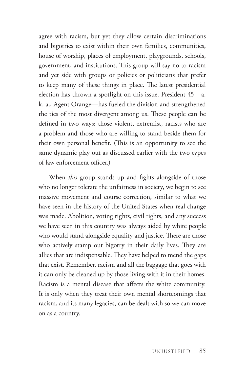agree with racism, but yet they allow certain discriminations and bigotries to exist within their own families, communities, house of worship, places of employment, playgrounds, schools, government, and institutions. This group will say no to racism and yet side with groups or policies or politicians that prefer to keep many of these things in place. The latest presidential election has thrown a spotlight on this issue. President 45—a. k. a., Agent Orange—has fueled the division and strengthened the ties of the most divergent among us. These people can be defined in two ways: those violent, extremist, racists who are a problem and those who are willing to stand beside them for their own personal benefit. (This is an opportunity to see the same dynamic play out as discussed earlier with the two types of law enforcement officer.)

When *this* group stands up and fights alongside of those who no longer tolerate the unfairness in society, we begin to see massive movement and course correction, similar to what we have seen in the history of the United States when real change was made. Abolition, voting rights, civil rights, and any success we have seen in this country was always aided by white people who would stand alongside equality and justice. There are those who actively stamp out bigotry in their daily lives. They are allies that are indispensable. They have helped to mend the gaps that exist. Remember, racism and all the baggage that goes with it can only be cleaned up by those living with it in their homes. Racism is a mental disease that affects the white community. It is only when they treat their own mental shortcomings that racism, and its many legacies, can be dealt with so we can move on as a country.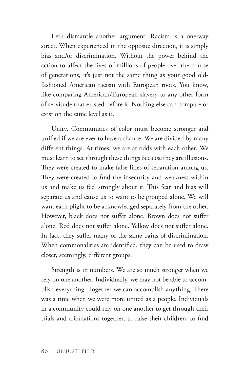Let's dismantle another argument. Racism is a one-way street. When experienced in the opposite direction, it is simply bias and/or discrimination. Without the power behind the action to affect the lives of millions of people over the course of generations, it's just not the same thing as your good oldfashioned American racism with European roots. You know, like comparing American/European slavery to any other form of servitude that existed before it. Nothing else can compare or exist on the same level as it.

Unity. Communities of color must become stronger and unified if we are ever to have a chance. We are divided by many different things. At times, we are at odds with each other. We must learn to see through these things because they are illusions. They were created to make false lines of separation among us. They were created to find the insecurity and weakness within us and make us feel strongly about it. This fear and bias will separate us and cause us to want to be grouped alone. We will want each plight to be acknowledged separately from the other. However, black does not suffer alone. Brown does not suffer alone. Red does not suffer alone. Yellow does not suffer alone. In fact, they suffer many of the same pains of discrimination. When commonalities are identified, they can be used to draw closer, seemingly, different groups.

Strength is in numbers. We are so much stronger when we rely on one another. Individually, we may not be able to accomplish everything. Together we can accomplish anything. There was a time when we were more united as a people. Individuals in a community could rely on one another to get through their trials and tribulations together, to raise their children, to find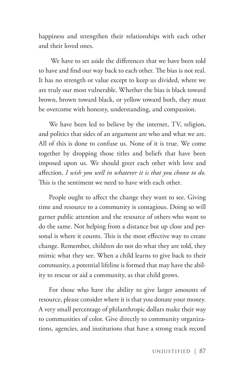happiness and strengthen their relationships with each other and their loved ones.

 We have to set aside the differences that we have been told to have and find our way back to each other. The bias is not real. It has no strength or value except to keep us divided, where we are truly our most vulnerable. Whether the bias is black toward brown, brown toward black, or yellow toward both, they must be overcome with honesty, understanding, and compassion.

We have been led to believe by the internet, TV, religion, and politics that sides of an argument are who and what we are. All of this is done to confuse us. None of it is true. We come together by dropping those titles and beliefs that have been imposed upon us. We should greet each other with love and affection. *I wish you well in whatever it is that you choose to do.* This is the sentiment we need to have with each other.

People ought to affect the change they want to see. Giving time and resource to a community is contagious. Doing so will garner public attention and the resource of others who want to do the same. Not helping from a distance but up close and personal is where it counts. This is the most effective way to create change. Remember, children do not do what they are told, they mimic what they see. When a child learns to give back to their community, a potential lifeline is formed that may have the ability to rescue or aid a community, as that child grows.

For those who have the ability to give larger amounts of resource, please consider where it is that you donate your money. A very small percentage of philanthropic dollars make their way to communities of color. Give directly to community organizations, agencies, and institutions that have a strong track record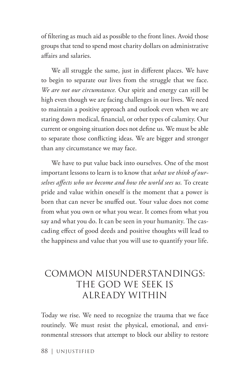of filtering as much aid as possible to the front lines. Avoid those groups that tend to spend most charity dollars on administrative affairs and salaries.

We all struggle the same, just in different places. We have to begin to separate our lives from the struggle that we face. *We are not our circumstance.* Our spirit and energy can still be high even though we are facing challenges in our lives. We need to maintain a positive approach and outlook even when we are staring down medical, financial, or other types of calamity. Our current or ongoing situation does not define us. We must be able to separate those conflicting ideas. We are bigger and stronger than any circumstance we may face.

We have to put value back into ourselves. One of the most important lessons to learn is to know that *what we think of ourselves affects who we become and how the world sees us.* To create pride and value within oneself is the moment that a power is born that can never be snuffed out. Your value does not come from what you own or what you wear. It comes from what you say and what you do. It can be seen in your humanity. The cascading effect of good deeds and positive thoughts will lead to the happiness and value that you will use to quantify your life.

### COMMON MISUNDERSTANDINGS: THE GOD WE SEEK IS ALREADY WITHIN

Today we rise. We need to recognize the trauma that we face routinely. We must resist the physical, emotional, and environmental stressors that attempt to block our ability to restore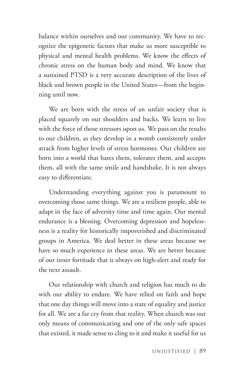balance within ourselves and our community. We have to recognize the epigenetic factors that make us more susceptible to physical and mental health problems. We know the effects of chronic stress on the human body and mind. We know that a sustained PTSD is a very accurate description of the lives of black and brown people in the United States—from the beginning until now.

We are born with the stress of an unfair society that is placed squarely on our shoulders and backs. We learn to live with the force of those stressors upon us. We pass on the results to our children, as they develop in a womb consistently under attack from higher levels of stress hormones. Our children are born into a world that hates them, tolerates them, and accepts them, all with the same smile and handshake. It is not always easy to differentiate.

Understanding everything against you is paramount to overcoming those same things. We are a resilient people, able to adapt in the face of adversity time and time again. Our mental endurance is a blessing. Overcoming depression and hopelessness is a reality for historically impoverished and discriminated groups in America. We deal better in these areas because we have so much experience in these areas. We are better because of our inner fortitude that is always on high-alert and ready for the next assault.

Our relationship with church and religion has much to do with our ability to endure. We have relied on faith and hope that one day things will move into a state of equality and justice for all. We are a far cry from that reality. When church was our only means of communicating and one of the only safe spaces that existed, it made sense to cling to it and make it useful for us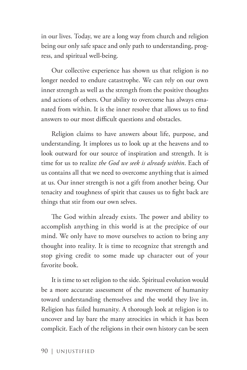in our lives. Today, we are a long way from church and religion being our only safe space and only path to understanding, progress, and spiritual well-being.

Our collective experience has shown us that religion is no longer needed to endure catastrophe. We can rely on our own inner strength as well as the strength from the positive thoughts and actions of others. Our ability to overcome has always emanated from within. It is the inner resolve that allows us to find answers to our most difficult questions and obstacles.

Religion claims to have answers about life, purpose, and understanding. It implores us to look up at the heavens and to look outward for our source of inspiration and strength. It is time for us to realize *the God we seek is already within*. Each of us contains all that we need to overcome anything that is aimed at us. Our inner strength is not a gift from another being. Our tenacity and toughness of spirit that causes us to fight back are things that stir from our own selves.

The God within already exists. The power and ability to accomplish anything in this world is at the precipice of our mind. We only have to move ourselves to action to bring any thought into reality. It is time to recognize that strength and stop giving credit to some made up character out of your favorite book.

It is time to set religion to the side. Spiritual evolution would be a more accurate assessment of the movement of humanity toward understanding themselves and the world they live in. Religion has failed humanity. A thorough look at religion is to uncover and lay bare the many atrocities in which it has been complicit. Each of the religions in their own history can be seen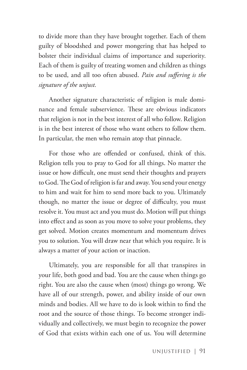to divide more than they have brought together. Each of them guilty of bloodshed and power mongering that has helped to bolster their individual claims of importance and superiority. Each of them is guilty of treating women and children as things to be used, and all too often abused. *Pain and suffering is the signature of the unjust.*

Another signature characteristic of religion is male dominance and female subservience. These are obvious indicators that religion is not in the best interest of all who follow. Religion is in the best interest of those who want others to follow them. In particular, the men who remain atop that pinnacle.

For those who are offended or confused, think of this. Religion tells you to pray to God for all things. No matter the issue or how difficult, one must send their thoughts and prayers to God. The God of religion is far and away. You send your energy to him and wait for him to send more back to you. Ultimately though, no matter the issue or degree of difficulty, you must resolve it. You must act and you must do. Motion will put things into effect and as soon as you move to solve your problems, they get solved. Motion creates momentum and momentum drives you to solution. You will draw near that which you require. It is always a matter of your action or inaction.

Ultimately, you are responsible for all that transpires in your life, both good and bad. You are the cause when things go right. You are also the cause when (most) things go wrong. We have all of our strength, power, and ability inside of our own minds and bodies. All we have to do is look within to find the root and the source of those things. To become stronger individually and collectively, we must begin to recognize the power of God that exists within each one of us. You will determine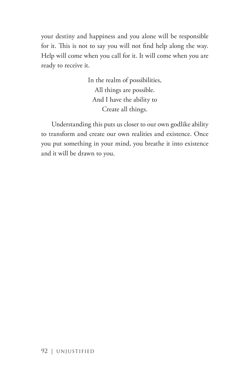your destiny and happiness and you alone will be responsible for it. This is not to say you will not find help along the way. Help will come when you call for it. It will come when you are ready to receive it.

> In the realm of possibilities, All things are possible. And I have the ability to Create all things.

Understanding this puts us closer to our own godlike ability to transform and create our own realities and existence. Once you put something in your mind, you breathe it into existence and it will be drawn to you.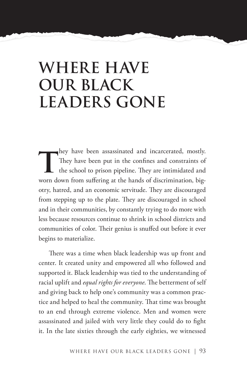## **WHERE HAVE OUR BLACK LEADERS GONE**

They have been assassinated and incarcerated, mostly.<br>They have been put in the confines and constraints of<br>the school to prison pipeline. They are intimidated and<br>www.frame.org/scine.org/scine.org/scine.org/sciences-They have been put in the confines and constraints of the school to prison pipeline. They are intimidated and worn down from suffering at the hands of discrimination, bigotry, hatred, and an economic servitude. They are discouraged from stepping up to the plate. They are discouraged in school and in their communities, by constantly trying to do more with less because resources continue to shrink in school districts and communities of color. Their genius is snuffed out before it ever begins to materialize.

There was a time when black leadership was up front and center. It created unity and empowered all who followed and supported it. Black leadership was tied to the understanding of racial uplift and *equal rights for everyone*. The betterment of self and giving back to help one's community was a common practice and helped to heal the community. That time was brought to an end through extreme violence. Men and women were assassinated and jailed with very little they could do to fight it. In the late sixties through the early eighties, we witnessed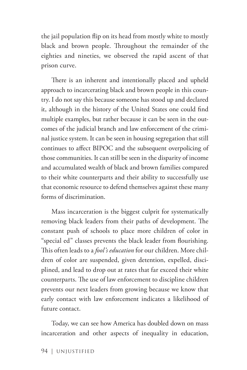the jail population flip on its head from mostly white to mostly black and brown people. Throughout the remainder of the eighties and nineties, we observed the rapid ascent of that prison curve.

There is an inherent and intentionally placed and upheld approach to incarcerating black and brown people in this country. I do not say this because someone has stood up and declared it, although in the history of the United States one could find multiple examples, but rather because it can be seen in the outcomes of the judicial branch and law enforcement of the criminal justice system. It can be seen in housing segregation that still continues to affect BIPOC and the subsequent overpolicing of those communities. It can still be seen in the disparity of income and accumulated wealth of black and brown families compared to their white counterparts and their ability to successfully use that economic resource to defend themselves against these many forms of discrimination.

Mass incarceration is the biggest culprit for systematically removing black leaders from their paths of development. The constant push of schools to place more children of color in "special ed" classes prevents the black leader from flourishing. This often leads to a *fool's education* for our children. More children of color are suspended, given detention, expelled, disciplined, and lead to drop out at rates that far exceed their white counterparts. The use of law enforcement to discipline children prevents our next leaders from growing because we know that early contact with law enforcement indicates a likelihood of future contact.

Today, we can see how America has doubled down on mass incarceration and other aspects of inequality in education,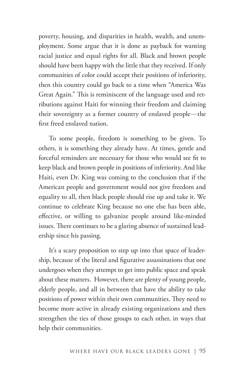poverty, housing, and disparities in health, wealth, and unemployment. Some argue that it is done as payback for wanting racial justice and equal rights for all. Black and brown people should have been happy with the little that they received. If only communities of color could accept their positions of inferiority, then this country could go back to a time when "America Was Great Again." This is reminiscent of the language used and retributions against Haiti for winning their freedom and claiming their sovereignty as a former country of enslaved people—the first freed enslaved nation.

To some people, freedom is something to be given. To others, it is something they already have. At times, gentle and forceful reminders are necessary for those who would see fit to keep black and brown people in positions of inferiority. And like Haiti, even Dr. King was coming to the conclusion that if the American people and government would not give freedom and equality to all, then black people should rise up and take it. We continue to celebrate King because no one else has been able, effective, or willing to galvanize people around like-minded issues. There continues to be a glaring absence of sustained leadership since his passing.

It's a scary proposition to step up into that space of leadership, because of the literal and figurative assassinations that one undergoes when they attempt to get into public space and speak about these matters. However, there are plenty of young people, elderly people, and all in between that have the ability to take positions of power within their own communities. They need to become more active in already existing organizations and then strengthen the ties of those groups to each other, in ways that help their communities.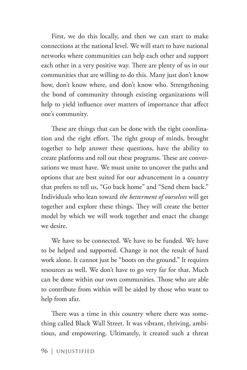First, we do this locally, and then we can start to make connections at the national level. We will start to have national networks where communities can help each other and support each other in a very positive way. There are plenty of us in our communities that are willing to do this. Many just don't know how, don't know where, and don't know who. Strengthening the bond of community through existing organizations will help to yield influence over matters of importance that affect one's community.

These are things that can be done with the right coordination and the right effort. The right group of minds, brought together to help answer these questions, have the ability to create platforms and roll out these programs. These are conversations we must have. We must unite to uncover the paths and options that are best suited for our advancement in a country that prefers to tell us, "Go back home" and "Send them back." Individuals who lean toward *the betterment of ourselves* will get together and explore these things. They will create the better model by which we will work together and enact the change we desire.

We have to be connected. We have to be funded. We have to be helped and supported. Change is not the result of hard work alone. It cannot just be "boots on the ground." It requires resources as well. We don't have to go very far for that. Much can be done within our own communities. Those who are able to contribute from within will be aided by those who want to help from afar.

There was a time in this country where there was something called Black Wall Street. It was vibrant, thriving, ambitious, and empowering. Ultimately, it created such a threat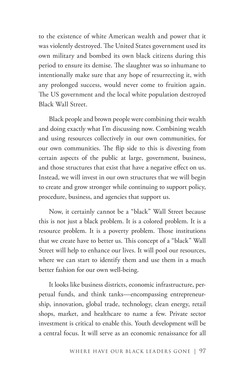to the existence of white American wealth and power that it was violently destroyed. The United States government used its own military and bombed its own black citizens during this period to ensure its demise. The slaughter was so inhumane to intentionally make sure that any hope of resurrecting it, with any prolonged success, would never come to fruition again. The US government and the local white population destroyed Black Wall Street.

Black people and brown people were combining their wealth and doing exactly what I'm discussing now. Combining wealth and using resources collectively in our own communities, for our own communities. The flip side to this is divesting from certain aspects of the public at large, government, business, and those structures that exist that have a negative effect on us. Instead, we will invest in our own structures that we will begin to create and grow stronger while continuing to support policy, procedure, business, and agencies that support us.

Now, it certainly cannot be a "black" Wall Street because this is not just a black problem. It is a colored problem. It is a resource problem. It is a poverty problem. Those institutions that we create have to better us. This concept of a "black" Wall Street will help to enhance our lives. It will pool our resources, where we can start to identify them and use them in a much better fashion for our own well-being.

It looks like business districts, economic infrastructure, perpetual funds, and think tanks—encompassing entrepreneurship, innovation, global trade, technology, clean energy, retail shops, market, and healthcare to name a few. Private sector investment is critical to enable this. Youth development will be a central focus. It will serve as an economic renaissance for all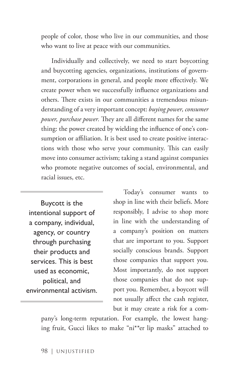people of color, those who live in our communities, and those who want to live at peace with our communities.

Individually and collectively, we need to start boycotting and buycotting agencies, organizations, institutions of government, corporations in general, and people more effectively. We create power when we successfully influence organizations and others. There exists in our communities a tremendous misunderstanding of a very important concept: *buying power, consumer power, purchase power.* They are all different names for the same thing: the power created by wielding the influence of one's consumption or affiliation. It is best used to create positive interactions with those who serve your community. This can easily move into consumer activism; taking a stand against companies who promote negative outcomes of social, environmental, and racial issues, etc.

Buycott is the intentional support of a company, individual, agency, or country through purchasing their products and services. This is best used as economic, political, and environmental activism.

Today's consumer wants to shop in line with their beliefs. More responsibly, I advise to shop more in line with the understanding of a company's position on matters that are important to you. Support socially conscious brands. Support those companies that support you. Most importantly, do not support those companies that do not support you. Remember, a boycott will not usually affect the cash register, but it may create a risk for a com-

pany's long-term reputation. For example, the lowest hanging fruit, Gucci likes to make "ni\*\*er lip masks" attached to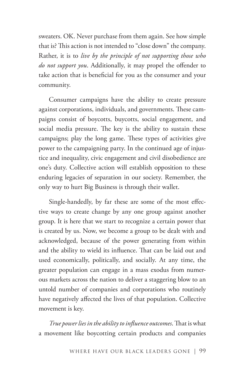sweaters. OK. Never purchase from them again. See how simple that is? This action is not intended to "close down" the company. Rather, it is to *live by the principle of not supporting those who do not support you*. Additionally, it may propel the offender to take action that is beneficial for you as the consumer and your community.

Consumer campaigns have the ability to create pressure against corporations, individuals, and governments. These campaigns consist of boycotts, buycotts, social engagement, and social media pressure. The key is the ability to sustain these campaigns; play the long game. These types of activities give power to the campaigning party. In the continued age of injustice and inequality, civic engagement and civil disobedience are one's duty. Collective action will establish opposition to these enduring legacies of separation in our society. Remember, the only way to hurt Big Business is through their wallet.

Single-handedly, by far these are some of the most effective ways to create change by any one group against another group. It is here that we start to recognize a certain power that is created by us. Now, we become a group to be dealt with and acknowledged, because of the power generating from within and the ability to wield its influence. That can be laid out and used economically, politically, and socially. At any time, the greater population can engage in a mass exodus from numerous markets across the nation to deliver a staggering blow to an untold number of companies and corporations who routinely have negatively affected the lives of that population. Collective movement is key.

*True power lies in the ability to influence outcomes*. That is what a movement like boycotting certain products and companies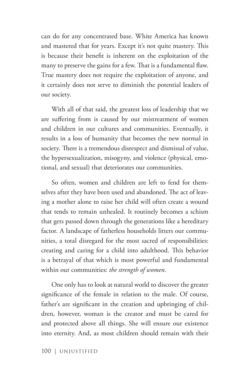can do for any concentrated base. White America has known and mastered that for years. Except it's not quite mastery. This is because their benefit is inherent on the exploitation of the many to preserve the gains for a few. That is a fundamental flaw. True mastery does not require the exploitation of anyone, and it certainly does not serve to diminish the potential leaders of our society.

With all of that said, the greatest loss of leadership that we are suffering from is caused by our mistreatment of women and children in our cultures and communities. Eventually, it results in a loss of humanity that becomes the new normal in society. There is a tremendous disrespect and dismissal of value, the hypersexualization, misogyny, and violence (physical, emotional, and sexual) that deteriorates our communities.

So often, women and children are left to fend for themselves after they have been used and abandoned. The act of leaving a mother alone to raise her child will often create a wound that tends to remain unhealed. It routinely becomes a schism that gets passed down through the generations like a hereditary factor. A landscape of fatherless households litters our communities, a total disregard for the most sacred of responsibilities: creating and caring for a child into adulthood. This behavior is a betrayal of that which is most powerful and fundamental within our communities: *the strength of women.*

One only has to look at natural world to discover the greater significance of the female in relation to the male. Of course, father's are significant in the creation and upbringing of children, however, woman is the creator and must be cared for and protected above all things. She will ensure our existence into eternity. And, as most children should remain with their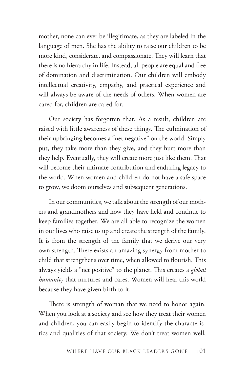mother, none can ever be illegitimate, as they are labeled in the language of men. She has the ability to raise our children to be more kind, considerate, and compassionate. They will learn that there is no hierarchy in life. Instead, all people are equal and free of domination and discrimination. Our children will embody intellectual creativity, empathy, and practical experience and will always be aware of the needs of others. When women are cared for, children are cared for.

Our society has forgotten that. As a result, children are raised with little awareness of these things. The culmination of their upbringing becomes a "net negative" on the world. Simply put, they take more than they give, and they hurt more than they help. Eventually, they will create more just like them. That will become their ultimate contribution and enduring legacy to the world. When women and children do not have a safe space to grow, we doom ourselves and subsequent generations.

In our communities, we talk about the strength of our mothers and grandmothers and how they have held and continue to keep families together. We are all able to recognize the women in our lives who raise us up and create the strength of the family. It is from the strength of the family that we derive our very own strength. There exists an amazing synergy from mother to child that strengthens over time, when allowed to flourish. This always yields a "net positive" to the planet. This creates a *global humanity* that nurtures and cares. Women will heal this world because they have given birth to it.

There is strength of woman that we need to honor again. When you look at a society and see how they treat their women and children, you can easily begin to identify the characteristics and qualities of that society. We don't treat women well,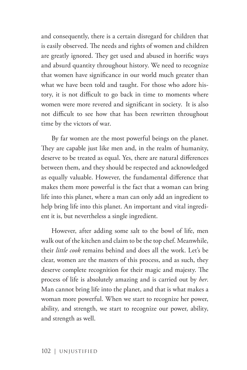and consequently, there is a certain disregard for children that is easily observed. The needs and rights of women and children are greatly ignored. They get used and abused in horrific ways and absurd quantity throughout history. We need to recognize that women have significance in our world much greater than what we have been told and taught. For those who adore history, it is not difficult to go back in time to moments where women were more revered and significant in society. It is also not difficult to see how that has been rewritten throughout time by the victors of war.

By far women are the most powerful beings on the planet. They are capable just like men and, in the realm of humanity, deserve to be treated as equal. Yes, there are natural differences between them, and they should be respected and acknowledged as equally valuable. However, the fundamental difference that makes them more powerful is the fact that a woman can bring life into this planet, where a man can only add an ingredient to help bring life into this planet. An important and vital ingredient it is, but nevertheless a single ingredient.

However, after adding some salt to the bowl of life, men walk out of the kitchen and claim to be the top chef. Meanwhile, their *little cook* remains behind and does all the work. Let's be clear, women are the masters of this process, and as such, they deserve complete recognition for their magic and majesty. The process of life is absolutely amazing and is carried out by *her*. Man cannot bring life into the planet, and that is what makes a woman more powerful. When we start to recognize her power, ability, and strength, we start to recognize our power, ability, and strength as well.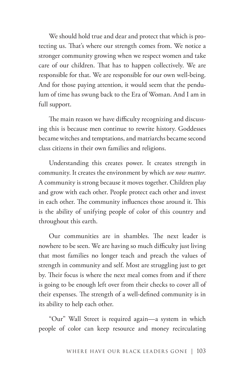We should hold true and dear and protect that which is protecting us. That's where our strength comes from. We notice a stronger community growing when we respect women and take care of our children. That has to happen collectively. We are responsible for that. We are responsible for our own well-being. And for those paying attention, it would seem that the pendulum of time has swung back to the Era of Woman. And I am in full support.

The main reason we have difficulty recognizing and discussing this is because men continue to rewrite history. Goddesses became witches and temptations, and matriarchs became second class citizens in their own families and religions.

Understanding this creates power. It creates strength in community. It creates the environment by which *we now matter*. A community is strong because it moves together. Children play and grow with each other. People protect each other and invest in each other. The community influences those around it. This is the ability of unifying people of color of this country and throughout this earth.

Our communities are in shambles. The next leader is nowhere to be seen. We are having so much difficulty just living that most families no longer teach and preach the values of strength in community and self. Most are struggling just to get by. Their focus is where the next meal comes from and if there is going to be enough left over from their checks to cover all of their expenses. The strength of a well-defined community is in its ability to help each other.

"Our" Wall Street is required again—a system in which people of color can keep resource and money recirculating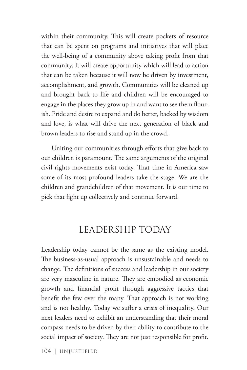within their community. This will create pockets of resource that can be spent on programs and initiatives that will place the well-being of a community above taking profit from that community. It will create opportunity which will lead to action that can be taken because it will now be driven by investment, accomplishment, and growth. Communities will be cleaned up and brought back to life and children will be encouraged to engage in the places they grow up in and want to see them flourish. Pride and desire to expand and do better, backed by wisdom and love, is what will drive the next generation of black and brown leaders to rise and stand up in the crowd.

Uniting our communities through efforts that give back to our children is paramount. The same arguments of the original civil rights movements exist today. That time in America saw some of its most profound leaders take the stage. We are the children and grandchildren of that movement. It is our time to pick that fight up collectively and continue forward.

### LEADERSHIP TODAY

Leadership today cannot be the same as the existing model. The business-as-usual approach is unsustainable and needs to change. The definitions of success and leadership in our society are very masculine in nature. They are embodied as economic growth and financial profit through aggressive tactics that benefit the few over the many. That approach is not working and is not healthy. Today we suffer a crisis of inequality. Our next leaders need to exhibit an understanding that their moral compass needs to be driven by their ability to contribute to the social impact of society. They are not just responsible for profit.

104 | UNJUSTIFIED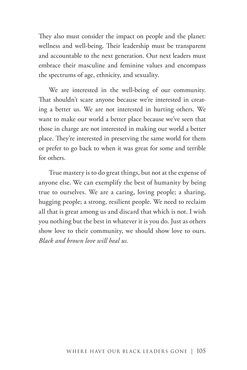They also must consider the impact on people and the planet: wellness and well-being. Their leadership must be transparent and accountable to the next generation. Our next leaders must embrace their masculine and feminine values and encompass the spectrums of age, ethnicity, and sexuality.

We are interested in the well-being of our community. That shouldn't scare anyone because we're interested in creating a better us. We are not interested in hurting others. We want to make our world a better place because we've seen that those in charge are not interested in making our world a better place. They're interested in preserving the same world for them or prefer to go back to when it was great for some and terrible for others.

True mastery is to do great things, but not at the expense of anyone else. We can exemplify the best of humanity by being true to ourselves. We are a caring, loving people; a sharing, hugging people; a strong, resilient people. We need to reclaim all that is great among us and discard that which is not. I wish you nothing but the best in whatever it is you do. Just as others show love to their community, we should show love to ours. *Black and brown love will heal us.*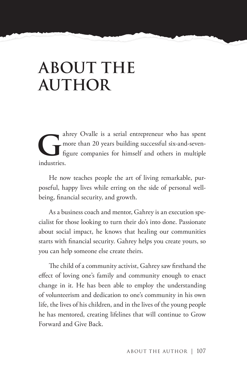# **ABOUT THE AUTHOR**

ahrey Ovalle is a serial entrepreneur who has spent<br>more than 20 years building successful six-and-seven-<br>figure companies for himself and others in multiple<br>industries. more than 20 years building successful six-and-sevenfigure companies for himself and others in multiple industries.

He now teaches people the art of living remarkable, purposeful, happy lives while erring on the side of personal wellbeing, financial security, and growth.

As a business coach and mentor, Gahrey is an execution specialist for those looking to turn their do's into done. Passionate about social impact, he knows that healing our communities starts with financial security. Gahrey helps you create yours, so you can help someone else create theirs.

The child of a community activist, Gahrey saw firsthand the effect of loving one's family and community enough to enact change in it. He has been able to employ the understanding of volunteerism and dedication to one's community in his own life, the lives of his children, and in the lives of the young people he has mentored, creating lifelines that will continue to Grow Forward and Give Back.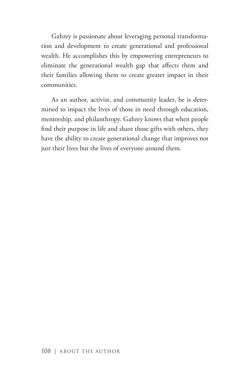Gahrey is passionate about leveraging personal transformation and development to create generational and professional wealth. He accomplishes this by empowering entrepreneurs to eliminate the generational wealth gap that affects them and their families allowing them to create greater impact in their communities.

As an author, activist, and community leader, he is determined to impact the lives of those in need through education, mentorship, and philanthropy. Gahrey knows that when people find their purpose in life and share those gifts with others, they have the ability to create generational change that improves not just their lives but the lives of everyone around them.